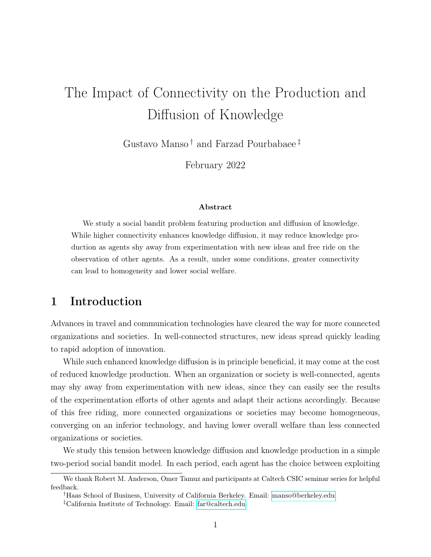# The Impact of Connectivity on the Production and Diffusion of Knowledge

Gustavo Manso<sup>†</sup> and Farzad Pourbabaee<sup>‡</sup>

February 2022

#### Abstract

We study a social bandit problem featuring production and diffusion of knowledge. While higher connectivity enhances knowledge diffusion, it may reduce knowledge production as agents shy away from experimentation with new ideas and free ride on the observation of other agents. As a result, under some conditions, greater connectivity can lead to homogeneity and lower social welfare.

# 1 Introduction

Advances in travel and communication technologies have cleared the way for more connected organizations and societies. In well-connected structures, new ideas spread quickly leading to rapid adoption of innovation.

While such enhanced knowledge diffusion is in principle beneficial, it may come at the cost of reduced knowledge production. When an organization or society is well-connected, agents may shy away from experimentation with new ideas, since they can easily see the results of the experimentation efforts of other agents and adapt their actions accordingly. Because of this free riding, more connected organizations or societies may become homogeneous, converging on an inferior technology, and having lower overall welfare than less connected organizations or societies.

We study this tension between knowledge diffusion and knowledge production in a simple two-period social bandit model. In each period, each agent has the choice between exploiting

We thank Robert M. Anderson, Omer Tamuz and participants at Caltech CSIC seminar series for helpful feedback.

<sup>†</sup>Haas School of Business, University of California Berkeley. Email: [manso@berkeley.edu.](mailto:manso@berkeley.edu)

<sup>‡</sup>California Institute of Technology. Email: [far@caltech.edu.](mailto:far@caltech.edu)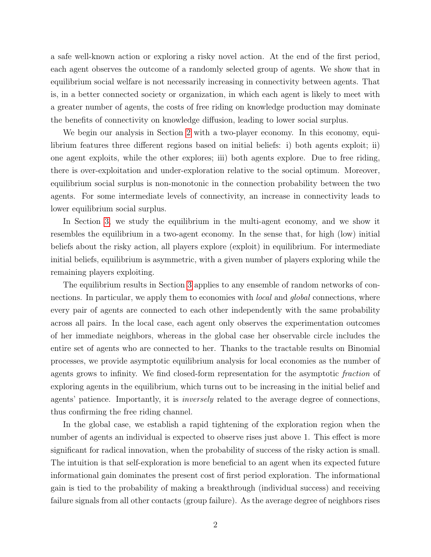a safe well-known action or exploring a risky novel action. At the end of the first period, each agent observes the outcome of a randomly selected group of agents. We show that in equilibrium social welfare is not necessarily increasing in connectivity between agents. That is, in a better connected society or organization, in which each agent is likely to meet with a greater number of agents, the costs of free riding on knowledge production may dominate the benefits of connectivity on knowledge diffusion, leading to lower social surplus.

We begin our analysis in Section [2](#page-3-0) with a two-player economy. In this economy, equilibrium features three different regions based on initial beliefs: i) both agents exploit; ii) one agent exploits, while the other explores; iii) both agents explore. Due to free riding, there is over-exploitation and under-exploration relative to the social optimum. Moreover, equilibrium social surplus is non-monotonic in the connection probability between the two agents. For some intermediate levels of connectivity, an increase in connectivity leads to lower equilibrium social surplus.

In Section [3,](#page-8-0) we study the equilibrium in the multi-agent economy, and we show it resembles the equilibrium in a two-agent economy. In the sense that, for high (low) initial beliefs about the risky action, all players explore (exploit) in equilibrium. For intermediate initial beliefs, equilibrium is asymmetric, with a given number of players exploring while the remaining players exploiting.

The equilibrium results in Section [3](#page-8-0) applies to any ensemble of random networks of connections. In particular, we apply them to economies with *local* and *global* connections, where every pair of agents are connected to each other independently with the same probability across all pairs. In the local case, each agent only observes the experimentation outcomes of her immediate neighbors, whereas in the global case her observable circle includes the entire set of agents who are connected to her. Thanks to the tractable results on Binomial processes, we provide asymptotic equilibrium analysis for local economies as the number of agents grows to infinity. We find closed-form representation for the asymptotic fraction of exploring agents in the equilibrium, which turns out to be increasing in the initial belief and agents' patience. Importantly, it is inversely related to the average degree of connections, thus confirming the free riding channel.

In the global case, we establish a rapid tightening of the exploration region when the number of agents an individual is expected to observe rises just above 1. This effect is more significant for radical innovation, when the probability of success of the risky action is small. The intuition is that self-exploration is more beneficial to an agent when its expected future informational gain dominates the present cost of first period exploration. The informational gain is tied to the probability of making a breakthrough (individual success) and receiving failure signals from all other contacts (group failure). As the average degree of neighbors rises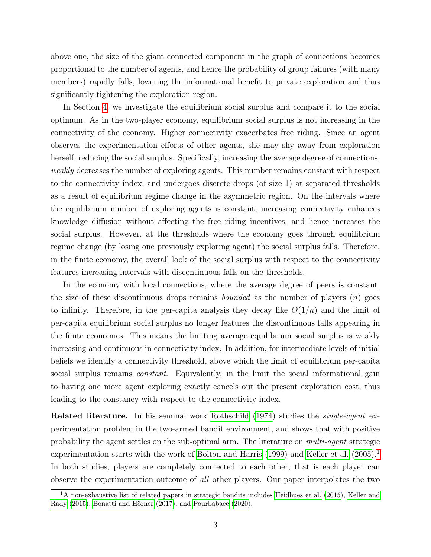above one, the size of the giant connected component in the graph of connections becomes proportional to the number of agents, and hence the probability of group failures (with many members) rapidly falls, lowering the informational benefit to private exploration and thus significantly tightening the exploration region.

In Section [4,](#page-17-0) we investigate the equilibrium social surplus and compare it to the social optimum. As in the two-player economy, equilibrium social surplus is not increasing in the connectivity of the economy. Higher connectivity exacerbates free riding. Since an agent observes the experimentation efforts of other agents, she may shy away from exploration herself, reducing the social surplus. Specifically, increasing the average degree of connections, weakly decreases the number of exploring agents. This number remains constant with respect to the connectivity index, and undergoes discrete drops (of size 1) at separated thresholds as a result of equilibrium regime change in the asymmetric region. On the intervals where the equilibrium number of exploring agents is constant, increasing connectivity enhances knowledge diffusion without affecting the free riding incentives, and hence increases the social surplus. However, at the thresholds where the economy goes through equilibrium regime change (by losing one previously exploring agent) the social surplus falls. Therefore, in the finite economy, the overall look of the social surplus with respect to the connectivity features increasing intervals with discontinuous falls on the thresholds.

In the economy with local connections, where the average degree of peers is constant, the size of these discontinuous drops remains *bounded* as the number of players  $(n)$  goes to infinity. Therefore, in the per-capita analysis they decay like  $O(1/n)$  and the limit of per-capita equilibrium social surplus no longer features the discontinuous falls appearing in the finite economies. This means the limiting average equilibrium social surplus is weakly increasing and continuous in connectivity index. In addition, for intermediate levels of initial beliefs we identify a connectivity threshold, above which the limit of equilibrium per-capita social surplus remains *constant*. Equivalently, in the limit the social informational gain to having one more agent exploring exactly cancels out the present exploration cost, thus leading to the constancy with respect to the connectivity index.

Related literature. In his seminal work [Rothschild](#page-41-0) [\(1974\)](#page-41-0) studies the *single-agent* experimentation problem in the two-armed bandit environment, and shows that with positive probability the agent settles on the sub-optimal arm. The literature on multi-agent strategic experimentation starts with the work of [Bolton and Harris](#page-40-0) [\(1999\)](#page-40-0) and [Keller et al.](#page-41-1)  $(2005).$  $(2005).$ <sup>[1](#page-2-0)</sup> In both studies, players are completely connected to each other, that is each player can observe the experimentation outcome of all other players. Our paper interpolates the two

<span id="page-2-0"></span><sup>&</sup>lt;sup>1</sup>A non-exhaustive list of related papers in strategic bandits includes [Heidhues et al.](#page-41-2) [\(2015\)](#page-41-2), [Keller and](#page-41-3) [Rady](#page-41-3) [\(2015\)](#page-41-3), [Bonatti and Hörner](#page-40-1) [\(2017\)](#page-40-1), and [Pourbabaee](#page-41-4) [\(2020\)](#page-41-4).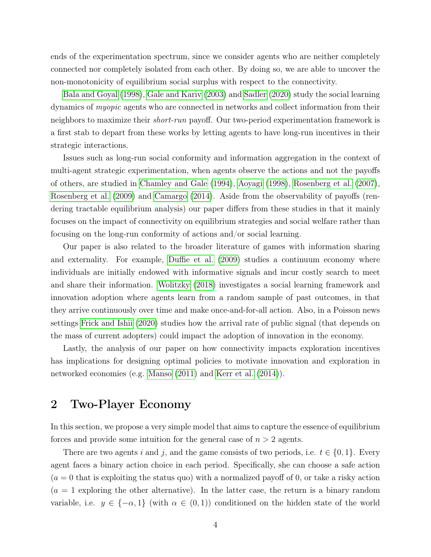ends of the experimentation spectrum, since we consider agents who are neither completely connected nor completely isolated from each other. By doing so, we are able to uncover the non-monotonicity of equilibrium social surplus with respect to the connectivity.

[Bala and Goyal](#page-40-2) [\(1998\)](#page-40-2), [Gale and Kariv](#page-41-5) [\(2003\)](#page-41-5) and [Sadler](#page-41-6) [\(2020\)](#page-41-6) study the social learning dynamics of myopic agents who are connected in networks and collect information from their neighbors to maximize their short-run payoff. Our two-period experimentation framework is a first stab to depart from these works by letting agents to have long-run incentives in their strategic interactions.

Issues such as long-run social conformity and information aggregation in the context of multi-agent strategic experimentation, when agents observe the actions and not the payoffs of others, are studied in [Chamley and Gale](#page-40-3) [\(1994\)](#page-40-3), [Aoyagi](#page-40-4) [\(1998\)](#page-40-4), [Rosenberg et al.](#page-41-7) [\(2007\)](#page-41-7), [Rosenberg et al.](#page-41-8) [\(2009\)](#page-41-8) and [Camargo](#page-40-5) [\(2014\)](#page-40-5). Aside from the observability of payoffs (rendering tractable equilibrium analysis) our paper differs from these studies in that it mainly focuses on the impact of connectivity on equilibrium strategies and social welfare rather than focusing on the long-run conformity of actions and/or social learning.

Our paper is also related to the broader literature of games with information sharing and externality. For example, [Duffie et al.](#page-40-6) [\(2009\)](#page-40-6) studies a continuum economy where individuals are initially endowed with informative signals and incur costly search to meet and share their information. [Wolitzky](#page-41-9) [\(2018\)](#page-41-9) investigates a social learning framework and innovation adoption where agents learn from a random sample of past outcomes, in that they arrive continuously over time and make once-and-for-all action. Also, in a Poisson news settings [Frick and Ishii](#page-41-10) [\(2020\)](#page-41-10) studies how the arrival rate of public signal (that depends on the mass of current adopters) could impact the adoption of innovation in the economy.

Lastly, the analysis of our paper on how connectivity impacts exploration incentives has implications for designing optimal policies to motivate innovation and exploration in networked economies (e.g. [Manso](#page-41-11) [\(2011\)](#page-41-11) and [Kerr et al.](#page-41-12) [\(2014\)](#page-41-12)).

# <span id="page-3-0"></span>2 Two-Player Economy

In this section, we propose a very simple model that aims to capture the essence of equilibrium forces and provide some intuition for the general case of  $n > 2$  agents.

There are two agents i and j, and the game consists of two periods, i.e.  $t \in \{0, 1\}$ . Every agent faces a binary action choice in each period. Specifically, she can choose a safe action  $(a = 0$  that is exploiting the status quo) with a normalized payoff of 0, or take a risky action  $(a = 1$  exploring the other alternative). In the latter case, the return is a binary random variable, i.e.  $y \in \{-\alpha, 1\}$  (with  $\alpha \in (0, 1)$ ) conditioned on the hidden state of the world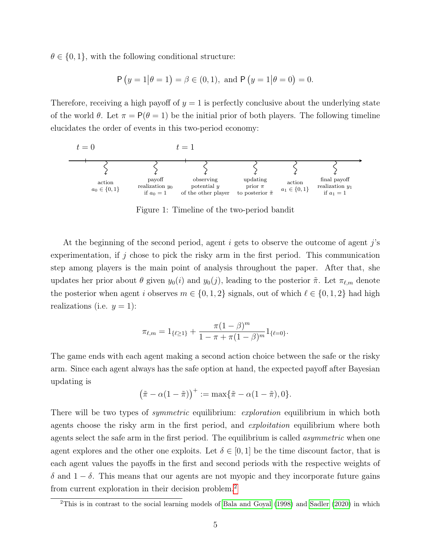$\theta \in \{0, 1\}$ , with the following conditional structure:

$$
P(y = 1 | \theta = 1) = \beta \in (0, 1), \text{ and } P(y = 1 | \theta = 0) = 0.
$$

Therefore, receiving a high payoff of  $y = 1$  is perfectly conclusive about the underlying state of the world  $\theta$ . Let  $\pi = P(\theta = 1)$  be the initial prior of both players. The following timeline elucidates the order of events in this two-period economy:



Figure 1: Timeline of the two-period bandit

At the beginning of the second period, agent i gets to observe the outcome of agent j's experimentation, if j chose to pick the risky arm in the first period. This communication step among players is the main point of analysis throughout the paper. After that, she updates her prior about  $\theta$  given  $y_0(i)$  and  $y_0(j)$ , leading to the posterior  $\tilde{\pi}$ . Let  $\pi_{\ell,m}$  denote the posterior when agent i observes  $m \in \{0, 1, 2\}$  signals, out of which  $\ell \in \{0, 1, 2\}$  had high realizations (i.e.  $y = 1$ ):

$$
\pi_{\ell,m}=1_{\{\ell\geq 1\}}+\frac{\pi(1-\beta)^m}{1-\pi+\pi(1-\beta)^m}1_{\{\ell=0\}}.
$$

The game ends with each agent making a second action choice between the safe or the risky arm. Since each agent always has the safe option at hand, the expected payoff after Bayesian updating is

$$
(\tilde{\pi} - \alpha(1 - \tilde{\pi}))^{+} := \max{\{\tilde{\pi} - \alpha(1 - \tilde{\pi}), 0\}}.
$$

There will be two types of *symmetric* equilibrium: *exploration* equilibrium in which both agents choose the risky arm in the first period, and *exploitation* equilibrium where both agents select the safe arm in the first period. The equilibrium is called *asymmetric* when one agent explores and the other one exploits. Let  $\delta \in [0,1]$  be the time discount factor, that is each agent values the payoffs in the first and second periods with the respective weights of δ and  $1 - δ$ . This means that our agents are not myopic and they incorporate future gains from current exploration in their decision problem.[2](#page-4-0)

<span id="page-4-0"></span><sup>2</sup>This is in contrast to the social learning models of [Bala and Goyal](#page-40-2) [\(1998\)](#page-40-2) and [Sadler](#page-41-6) [\(2020\)](#page-41-6) in which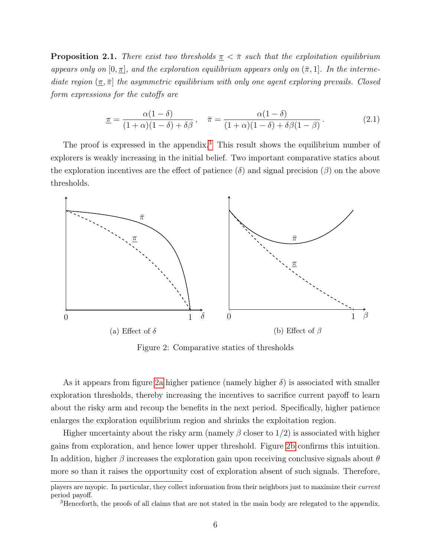<span id="page-5-3"></span>**Proposition 2.1.** There exist two thresholds  $\pi < \bar{\pi}$  such that the exploitation equilibrium appears only on  $[0, \pi]$ , and the exploration equilibrium appears only on  $(\bar{\pi}, 1]$ . In the intermediate region  $(\pi, \bar{\pi})$  the asymmetric equilibrium with only one agent exploring prevails. Closed form expressions for the cutoffs are

<span id="page-5-2"></span>
$$
\underline{\pi} = \frac{\alpha(1-\delta)}{(1+\alpha)(1-\delta)+\delta\beta}, \quad \bar{\pi} = \frac{\alpha(1-\delta)}{(1+\alpha)(1-\delta)+\delta\beta(1-\beta)}.
$$
\n(2.1)

The proof is expressed in the appendix.<sup>[3](#page-5-0)</sup> This result shows the equilibrium number of explorers is weakly increasing in the initial belief. Two important comparative statics about the exploration incentives are the effect of patience  $(\delta)$  and signal precision  $(\beta)$  on the above thresholds.

<span id="page-5-1"></span>

Figure 2: Comparative statics of thresholds

As it appears from figure [2a](#page-5-1) higher patience (namely higher  $\delta$ ) is associated with smaller exploration thresholds, thereby increasing the incentives to sacrifice current payoff to learn about the risky arm and recoup the benefits in the next period. Specifically, higher patience enlarges the exploration equilibrium region and shrinks the exploitation region.

Higher uncertainty about the risky arm (namely  $\beta$  closer to  $1/2$ ) is associated with higher gains from exploration, and hence lower upper threshold. Figure [2b](#page-5-1) confirms this intuition. In addition, higher  $\beta$  increases the exploration gain upon receiving conclusive signals about  $\theta$ more so than it raises the opportunity cost of exploration absent of such signals. Therefore,

players are myopic. In particular, they collect information from their neighbors just to maximize their current period payoff.

<span id="page-5-0"></span><sup>3</sup>Henceforth, the proofs of all claims that are not stated in the main body are relegated to the appendix.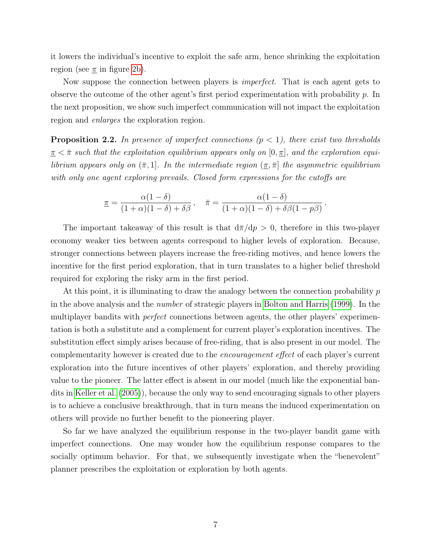it lowers the individual's incentive to exploit the safe arm, hence shrinking the exploitation region (see  $\pi$  in figure [2b\)](#page-5-1).

Now suppose the connection between players is *imperfect*. That is each agent gets to observe the outcome of the other agent's first period experimentation with probability p. In the next proposition, we show such imperfect communication will not impact the exploitation region and enlarges the exploration region.

<span id="page-6-0"></span>**Proposition 2.2.** In presence of imperfect connections  $(p < 1)$ , there exist two thresholds  $\pi < \bar{\pi}$  such that the exploitation equilibrium appears only on  $[0, \pi]$ , and the exploration equilibrium appears only on  $(\bar{\pi}, 1]$ . In the intermediate region  $(\underline{\pi}, \bar{\pi})$  the asymmetric equilibrium with only one agent exploring prevails. Closed form expressions for the cutoffs are

$$
\underline{\pi} = \frac{\alpha(1-\delta)}{(1+\alpha)(1-\delta)+\delta\beta}, \quad \overline{\pi} = \frac{\alpha(1-\delta)}{(1+\alpha)(1-\delta)+\delta\beta(1-p\beta)}.
$$

The important takeaway of this result is that  $d\bar{\pi}/dp > 0$ , therefore in this two-player economy weaker ties between agents correspond to higher levels of exploration. Because, stronger connections between players increase the free-riding motives, and hence lowers the incentive for the first period exploration, that in turn translates to a higher belief threshold required for exploring the risky arm in the first period.

At this point, it is illuminating to draw the analogy between the connection probability  $p$ in the above analysis and the number of strategic players in [Bolton and Harris](#page-40-0) [\(1999\)](#page-40-0). In the multiplayer bandits with *perfect* connections between agents, the other players' experimentation is both a substitute and a complement for current player's exploration incentives. The substitution effect simply arises because of free-riding, that is also present in our model. The complementarity however is created due to the encouragement effect of each player's current exploration into the future incentives of other players' exploration, and thereby providing value to the pioneer. The latter effect is absent in our model (much like the exponential bandits in [Keller et al.](#page-41-1) [\(2005\)](#page-41-1)), because the only way to send encouraging signals to other players is to achieve a conclusive breakthrough, that in turn means the induced experimentation on others will provide no further benefit to the pioneering player.

So far we have analyzed the equilibrium response in the two-player bandit game with imperfect connections. One may wonder how the equilibrium response compares to the socially optimum behavior. For that, we subsequently investigate when the "benevolent" planner prescribes the exploitation or exploration by both agents.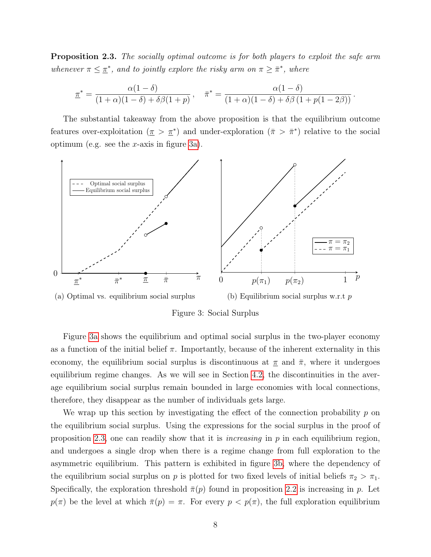<span id="page-7-1"></span>**Proposition 2.3.** The socially optimal outcome is for both players to exploit the safe arm whenever  $\pi \leq \pi^*$ , and to jointly explore the risky arm on  $\pi \geq \bar{\pi}^*$ , where

$$
\underline{\pi}^* = \frac{\alpha(1-\delta)}{(1+\alpha)(1-\delta)+\delta\beta(1+p)}, \quad \bar{\pi}^* = \frac{\alpha(1-\delta)}{(1+\alpha)(1-\delta)+\delta\beta(1+p(1-2\beta))}.
$$

The substantial takeaway from the above proposition is that the equilibrium outcome features over-exploitation  $(\pi > \pi^*)$  and under-exploration  $(\bar{\pi} > \bar{\pi}^*)$  relative to the social optimum (e.g. see the  $x$ -axis in figure [3a\)](#page-7-0).

<span id="page-7-0"></span>

Figure 3: Social Surplus

Figure [3a](#page-7-0) shows the equilibrium and optimal social surplus in the two-player economy as a function of the initial belief  $\pi$ . Importantly, because of the inherent externality in this economy, the equilibrium social surplus is discontinuous at  $\pi$  and  $\bar{\pi}$ , where it undergoes equilibrium regime changes. As we will see in Section [4.2,](#page-22-0) the discontinuities in the average equilibrium social surplus remain bounded in large economies with local connections, therefore, they disappear as the number of individuals gets large.

We wrap up this section by investigating the effect of the connection probability  $p$  on the equilibrium social surplus. Using the expressions for the social surplus in the proof of proposition [2.3,](#page-7-1) one can readily show that it is *increasing* in  $p$  in each equilibrium region, and undergoes a single drop when there is a regime change from full exploration to the asymmetric equilibrium. This pattern is exhibited in figure [3b,](#page-7-0) where the dependency of the equilibrium social surplus on p is plotted for two fixed levels of initial beliefs  $\pi_2 > \pi_1$ . Specifically, the exploration threshold  $\bar{\pi}(p)$  found in proposition [2.2](#page-6-0) is increasing in p. Let  $p(\pi)$  be the level at which  $\bar{\pi}(p) = \pi$ . For every  $p < p(\pi)$ , the full exploration equilibrium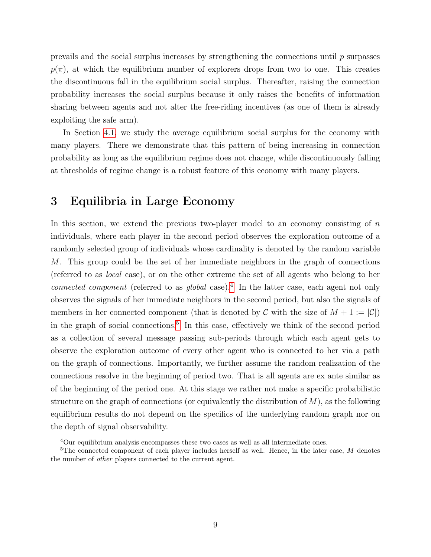prevails and the social surplus increases by strengthening the connections until  $p$  surpasses  $p(\pi)$ , at which the equilibrium number of explorers drops from two to one. This creates the discontinuous fall in the equilibrium social surplus. Thereafter, raising the connection probability increases the social surplus because it only raises the benefits of information sharing between agents and not alter the free-riding incentives (as one of them is already exploiting the safe arm).

In Section [4.1,](#page-19-0) we study the average equilibrium social surplus for the economy with many players. There we demonstrate that this pattern of being increasing in connection probability as long as the equilibrium regime does not change, while discontinuously falling at thresholds of regime change is a robust feature of this economy with many players.

# <span id="page-8-0"></span>3 Equilibria in Large Economy

In this section, we extend the previous two-player model to an economy consisting of  $n$ individuals, where each player in the second period observes the exploration outcome of a randomly selected group of individuals whose cardinality is denoted by the random variable M. This group could be the set of her immediate neighbors in the graph of connections (referred to as local case), or on the other extreme the set of all agents who belong to her connected component (referred to as global case).<sup>[4](#page-8-1)</sup> In the latter case, each agent not only observes the signals of her immediate neighbors in the second period, but also the signals of members in her connected component (that is denoted by C with the size of  $M + 1 := |\mathcal{C}|$ ) in the graph of social connections.[5](#page-8-2) In this case, effectively we think of the second period as a collection of several message passing sub-periods through which each agent gets to observe the exploration outcome of every other agent who is connected to her via a path on the graph of connections. Importantly, we further assume the random realization of the connections resolve in the beginning of period two. That is all agents are ex ante similar as of the beginning of the period one. At this stage we rather not make a specific probabilistic structure on the graph of connections (or equivalently the distribution of  $M$ ), as the following equilibrium results do not depend on the specifics of the underlying random graph nor on the depth of signal observability.

<span id="page-8-2"></span><span id="page-8-1"></span> $\overline{40}$ ur equilibrium analysis encompasses these two cases as well as all intermediate ones.

<sup>&</sup>lt;sup>5</sup>The connected component of each player includes herself as well. Hence, in the later case,  $M$  denotes the number of other players connected to the current agent.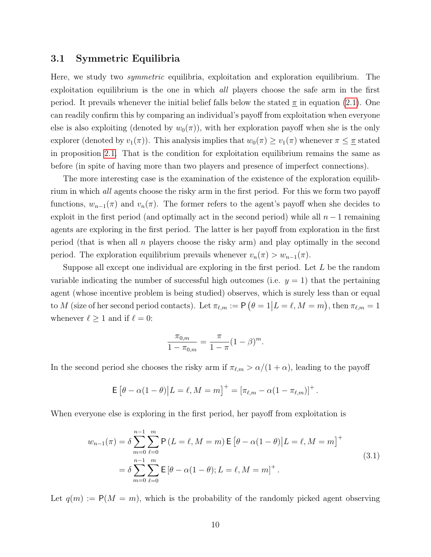#### 3.1 Symmetric Equilibria

Here, we study two symmetric equilibria, exploitation and exploration equilibrium. The exploitation equilibrium is the one in which all players choose the safe arm in the first period. It prevails whenever the initial belief falls below the stated  $\pi$  in equation [\(2.1\)](#page-5-2). One can readily confirm this by comparing an individual's payoff from exploitation when everyone else is also exploiting (denoted by  $w_0(\pi)$ ), with her exploration payoff when she is the only explorer (denoted by  $v_1(\pi)$ ). This analysis implies that  $w_0(\pi) \ge v_1(\pi)$  whenever  $\pi \le \pi$  stated in proposition [2.1.](#page-5-3) That is the condition for exploitation equilibrium remains the same as before (in spite of having more than two players and presence of imperfect connections).

The more interesting case is the examination of the existence of the exploration equilibrium in which all agents choose the risky arm in the first period. For this we form two payoff functions,  $w_{n-1}(\pi)$  and  $v_n(\pi)$ . The former refers to the agent's payoff when she decides to exploit in the first period (and optimally act in the second period) while all  $n-1$  remaining agents are exploring in the first period. The latter is her payoff from exploration in the first period (that is when all  $n$  players choose the risky arm) and play optimally in the second period. The exploration equilibrium prevails whenever  $v_n(\pi) > w_{n-1}(\pi)$ .

Suppose all except one individual are exploring in the first period. Let L be the random variable indicating the number of successful high outcomes (i.e.  $y = 1$ ) that the pertaining agent (whose incentive problem is being studied) observes, which is surely less than or equal to M (size of her second period contacts). Let  $\pi_{\ell,m} := \mathsf{P}(\theta = 1 | L = \ell, M = m)$ , then  $\pi_{\ell,m} = 1$ whenever  $\ell \geq 1$  and if  $\ell = 0$ :

$$
\frac{\pi_{0,m}}{1 - \pi_{0,m}} = \frac{\pi}{1 - \pi} (1 - \beta)^m.
$$

In the second period she chooses the risky arm if  $\pi_{\ell,m} > \alpha/(1 + \alpha)$ , leading to the payoff

$$
\mathsf{E} [ \theta - \alpha (1 - \theta) | L = \ell, M = m ]^{+} = [\pi_{\ell,m} - \alpha (1 - \pi_{\ell,m})]^{+}.
$$

When everyone else is exploring in the first period, her payoff from exploitation is

<span id="page-9-0"></span>
$$
w_{n-1}(\pi) = \delta \sum_{m=0}^{n-1} \sum_{\ell=0}^{m} \mathsf{P}\left(L=\ell, M=m\right) \mathsf{E}\left[\theta-\alpha(1-\theta)|L=\ell, M=m\right]^+
$$
  
= 
$$
\delta \sum_{m=0}^{n-1} \sum_{\ell=0}^{m} \mathsf{E}\left[\theta-\alpha(1-\theta); L=\ell, M=m\right]^+.
$$
 (3.1)

Let  $q(m) := P(M = m)$ , which is the probability of the randomly picked agent observing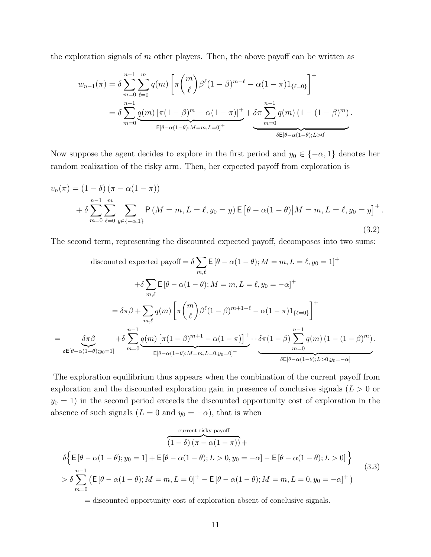the exploration signals of  $m$  other players. Then, the above payoff can be written as

$$
w_{n-1}(\pi) = \delta \sum_{m=0}^{n-1} \sum_{\ell=0}^{m} q(m) \left[ \pi {m \choose \ell} \beta^{\ell} (1-\beta)^{m-\ell} - \alpha (1-\pi) 1_{\{\ell=0\}} \right]^{+}
$$
  
= 
$$
\delta \sum_{m=0}^{n-1} \underbrace{q(m) \left[ \pi (1-\beta)^m - \alpha (1-\pi) \right]^+}_{\mathsf{E}[\theta-\alpha(1-\theta);M=m,L=0]^+} + \underbrace{\delta \pi \sum_{m=0}^{n-1} q(m) \left( 1 - (1-\beta)^m \right)}_{\delta \mathsf{E}[\theta-\alpha(1-\theta);L>0]}.
$$

Now suppose the agent decides to explore in the first period and  $y_0 \in \{-\alpha, 1\}$  denotes her random realization of the risky arm. Then, her expected payoff from exploration is

<span id="page-10-0"></span>
$$
v_n(\pi) = (1 - \delta) (\pi - \alpha(1 - \pi))
$$
  
+  $\delta \sum_{m=0}^{n-1} \sum_{\ell=0}^m \sum_{y \in \{-\alpha, 1\}} P(M = m, L = \ell, y_0 = y) \mathbb{E} [\theta - \alpha(1 - \theta) | M = m, L = \ell, y_0 = y]^+$ . (3.2)

The second term, representing the discounted expected payoff, decomposes into two sums:

$$
\text{discounted expected payoff} = \delta \sum_{m,\ell} \mathsf{E} \left[ \theta - \alpha (1 - \theta); M = m, L = \ell, y_0 = 1 \right]^+
$$
\n
$$
+ \delta \sum_{m,\ell} \mathsf{E} \left[ \theta - \alpha (1 - \theta); M = m, L = \ell, y_0 = -\alpha \right]^+
$$
\n
$$
= \delta \pi \beta + \sum_{m,\ell} q(m) \left[ \pi \binom{m}{\ell} \beta^{\ell} (1 - \beta)^{m+1-\ell} - \alpha (1 - \pi) 1_{\{\ell=0\}} \right]^+
$$
\n
$$
= \underbrace{\delta \pi \beta}_{\delta \mathsf{E}[\theta - \alpha (1 - \theta); y_0 = 1]} + \delta \sum_{m=0}^{n-1} \underbrace{q(m) \left[ \pi (1 - \beta)^{m+1} - \alpha (1 - \pi) \right]^+}_{\mathsf{E}[\theta - \alpha (1 - \theta); M = m, L = 0, y_0 = 0]^+} + \underbrace{\delta \pi (1 - \beta) \sum_{m=0}^{n-1} q(m) \left( 1 - (1 - \beta)^m \right)}_{\delta \mathsf{E}[\theta - \alpha (1 - \theta); L > 0, y_0 = -\alpha]}
$$

The exploration equilibrium thus appears when the combination of the current payoff from exploration and the discounted exploration gain in presence of conclusive signals ( $L > 0$  or  $y_0 = 1$ ) in the second period exceeds the discounted opportunity cost of exploration in the absence of such signals  $(L = 0 \text{ and } y_0 = -\alpha)$ , that is when

<span id="page-10-1"></span>
$$
\frac{\text{current risky payoff}}{(1-\delta)(\pi-\alpha(1-\pi))} + \delta \Big\{ \mathsf{E} \left[ \theta - \alpha(1-\theta); y_0 = 1 \right] + \mathsf{E} \left[ \theta - \alpha(1-\theta); L > 0, y_0 = -\alpha \right] - \mathsf{E} \left[ \theta - \alpha(1-\theta); L > 0 \right] \Big\}
$$
\n
$$
> \delta \sum_{m=0}^{n-1} \left( \mathsf{E} \left[ \theta - \alpha(1-\theta); M = m, L = 0 \right]^{+} - \mathsf{E} \left[ \theta - \alpha(1-\theta); M = m, L = 0, y_0 = -\alpha \right]^{+} \right) \tag{3.3}
$$

= discounted opportunity cost of exploration absent of conclusive signals.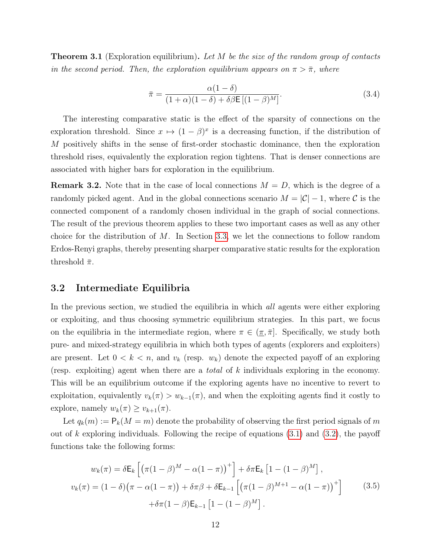<span id="page-11-1"></span>**Theorem 3.1** (Exploration equilibrium). Let M be the size of the random group of contacts in the second period. Then, the exploration equilibrium appears on  $\pi > \bar{\pi}$ , where

<span id="page-11-2"></span>
$$
\bar{\pi} = \frac{\alpha(1-\delta)}{(1+\alpha)(1-\delta) + \delta\beta \mathsf{E}\left[(1-\beta)^M\right]}.
$$
\n(3.4)

The interesting comparative static is the effect of the sparsity of connections on the exploration threshold. Since  $x \mapsto (1 - \beta)^x$  is a decreasing function, if the distribution of M positively shifts in the sense of first-order stochastic dominance, then the exploration threshold rises, equivalently the exploration region tightens. That is denser connections are associated with higher bars for exploration in the equilibrium.

**Remark 3.2.** Note that in the case of local connections  $M = D$ , which is the degree of a randomly picked agent. And in the global connections scenario  $M = |\mathcal{C}| - 1$ , where C is the connected component of a randomly chosen individual in the graph of social connections. The result of the previous theorem applies to these two important cases as well as any other choice for the distribution of  $M$ . In Section [3.3,](#page-13-0) we let the connections to follow random Erdos-Renyi graphs, thereby presenting sharper comparative static results for the exploration threshold  $\bar{\pi}$ .

#### 3.2 Intermediate Equilibria

In the previous section, we studied the equilibria in which *all* agents were either exploring or exploiting, and thus choosing symmetric equilibrium strategies. In this part, we focus on the equilibria in the intermediate region, where  $\pi \in (\pi, \bar{\pi}]$ . Specifically, we study both pure- and mixed-strategy equilibria in which both types of agents (explorers and exploiters) are present. Let  $0 < k < n$ , and  $v_k$  (resp.  $w_k$ ) denote the expected payoff of an exploring (resp. exploiting) agent when there are a total of k individuals exploring in the economy. This will be an equilibrium outcome if the exploring agents have no incentive to revert to exploitation, equivalently  $v_k(\pi) > w_{k-1}(\pi)$ , and when the exploiting agents find it costly to explore, namely  $w_k(\pi) \ge v_{k+1}(\pi)$ .

Let  $q_k(m) := \mathsf{P}_k(M = m)$  denote the probability of observing the first period signals of m out of k exploring individuals. Following the recipe of equations  $(3.1)$  and  $(3.2)$ , the payoff functions take the following forms:

<span id="page-11-0"></span>
$$
w_k(\pi) = \delta \mathsf{E}_k \left[ \left( \pi (1 - \beta)^M - \alpha (1 - \pi) \right)^+ \right] + \delta \pi \mathsf{E}_k \left[ 1 - (1 - \beta)^M \right],
$$
  

$$
v_k(\pi) = (1 - \delta) \left( \pi - \alpha (1 - \pi) \right) + \delta \pi \beta + \delta \mathsf{E}_{k-1} \left[ \left( \pi (1 - \beta)^{M+1} - \alpha (1 - \pi) \right)^+ \right] \qquad (3.5)
$$
  

$$
+ \delta \pi (1 - \beta) \mathsf{E}_{k-1} \left[ 1 - (1 - \beta)^M \right].
$$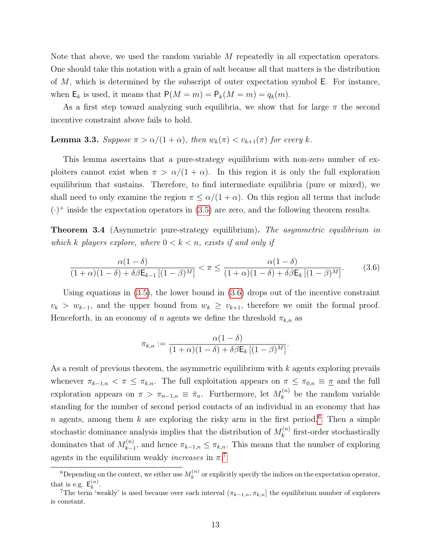Note that above, we used the random variable M repeatedly in all expectation operators. One should take this notation with a grain of salt because all that matters is the distribution of  $M$ , which is determined by the subscript of outer expectation symbol  $E$ . For instance, when  $\mathsf{E}_k$  is used, it means that  $\mathsf{P}(M = m) = \mathsf{P}_k(M = m) = q_k(m)$ .

As a first step toward analyzing such equilibria, we show that for large  $\pi$  the second incentive constraint above fails to hold.

#### <span id="page-12-3"></span>**Lemma 3.3.** Suppose  $\pi > \alpha/(1+\alpha)$ , then  $w_k(\pi) < v_{k+1}(\pi)$  for every k.

This lemma ascertains that a pure-strategy equilibrium with non-zero number of exploiters cannot exist when  $\pi > \alpha/(1 + \alpha)$ . In this region it is only the full exploration equilibrium that sustains. Therefore, to find intermediate equilibria (pure or mixed), we shall need to only examine the region  $\pi \le \alpha/(1+\alpha)$ . On this region all terms that include  $(\cdot)^+$  inside the expectation operators in [\(3.5\)](#page-11-0) are zero, and the following theorem results.

**Theorem 3.4** (Asymmetric pure-strategy equilibrium). The asymmetric equilibrium in which k players explore, where  $0 < k < n$ , exists if and only if

<span id="page-12-0"></span>
$$
\frac{\alpha(1-\delta)}{(1+\alpha)(1-\delta)+\delta\beta\mathsf{E}_{k-1}\left[(1-\beta)^M\right]} < \pi \le \frac{\alpha(1-\delta)}{(1+\alpha)(1-\delta)+\delta\beta\mathsf{E}_k\left[(1-\beta)^M\right]}.\tag{3.6}
$$

Using equations in [\(3.5\)](#page-11-0), the lower bound in [\(3.6\)](#page-12-0) drops out of the incentive constraint  $v_k > w_{k-1}$ , and the upper bound from  $w_k \geq v_{k+1}$ , therefore we omit the formal proof. Henceforth, in an economy of n agents we define the threshold  $\pi_{k,n}$  as

$$
\pi_{k,n} := \frac{\alpha(1-\delta)}{(1+\alpha)(1-\delta) + \delta\beta \mathsf{E}_k \left[ (1-\beta)^M \right]}.
$$

As a result of previous theorem, the asymmetric equilibrium with k agents exploring prevails whenever  $\pi_{k-1,n} < \pi \leq \pi_{k,n}$ . The full exploitation appears on  $\pi \leq \pi_{0,n} \equiv \pi$  and the full exploration appears on  $\pi > \pi_{n-1,n} \equiv \bar{\pi}_n$ . Furthermore, let  $M_k^{(n)}$  $\binom{n}{k}$  be the random variable standing for the number of second period contacts of an individual in an economy that has n agents, among them k are exploring the risky arm in the first period.<sup>[6](#page-12-1)</sup> Then a simple stochastic dominance analysis implies that the distribution of  $M_k^{(n)}$  $k^{(n)}$  first-order stochastically dominates that of  $M_{k-1}^{(n)}$  $\tau_{k-1}^{(n)}$ , and hence  $\pi_{k-1,n} \leq \pi_{k,n}$ . This means that the number of exploring agents in the equilibrium weakly *increases* in  $\pi$ .<sup>[7](#page-12-2)</sup>

<span id="page-12-1"></span><sup>&</sup>lt;sup>6</sup>Depending on the context, we either use  $M_k^{(n)}$  $k_k^{(n)}$  or explicitly specify the indices on the expectation operator, that is e.g.  $\mathsf{E}_k^{(n)}$  $\binom{n}{k}$ .

<span id="page-12-2"></span><sup>&</sup>lt;sup>7</sup>The term 'weakly' is used because over each interval  $(\pi_{k-1,n}, \pi_{k,n}]$  the equilibrium number of explorers is constant.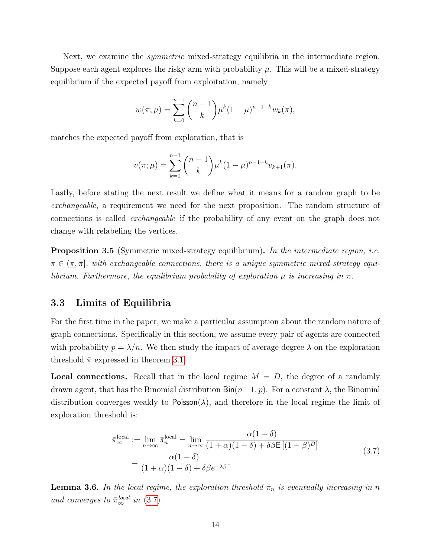Next, we examine the *symmetric* mixed-strategy equilibria in the intermediate region. Suppose each agent explores the risky arm with probability  $\mu$ . This will be a mixed-strategy equilibrium if the expected payoff from exploitation, namely

$$
w(\pi;\mu) = \sum_{k=0}^{n-1} {n-1 \choose k} \mu^k (1-\mu)^{n-1-k} w_k(\pi),
$$

matches the expected payoff from exploration, that is

$$
v(\pi;\mu) = \sum_{k=0}^{n-1} {n-1 \choose k} \mu^k (1-\mu)^{n-1-k} v_{k+1}(\pi).
$$

Lastly, before stating the next result we define what it means for a random graph to be exchangeable, a requirement we need for the next proposition. The random structure of connections is called exchangeable if the probability of any event on the graph does not change with relabeling the vertices.

<span id="page-13-2"></span>Proposition 3.5 (Symmetric mixed-strategy equilibrium). In the intermediate region, i.e.  $\pi \in (\pi, \bar{\pi}],$  with exchangeable connections, there is a unique symmetric mixed-strategy equilibrium. Furthermore, the equilibrium probability of exploration  $\mu$  is increasing in  $\pi$ .

#### <span id="page-13-0"></span>3.3 Limits of Equilibria

For the first time in the paper, we make a particular assumption about the random nature of graph connections. Specifically in this section, we assume every pair of agents are connected with probability  $p = \lambda/n$ . We then study the impact of average degree  $\lambda$  on the exploration threshold  $\bar{\pi}$  expressed in theorem [3.1.](#page-11-1)

**Local connections.** Recall that in the local regime  $M = D$ , the degree of a randomly drawn agent, that has the Binomial distribution  $\text{Bin}(n-1, p)$ . For a constant  $\lambda$ , the Binomial distribution converges weakly to Poisson( $\lambda$ ), and therefore in the local regime the limit of exploration threshold is:

<span id="page-13-1"></span>
$$
\begin{split} \bar{\pi}_{\infty}^{\text{local}} &:= \lim_{n \to \infty} \bar{\pi}_{n}^{\text{local}} = \lim_{n \to \infty} \frac{\alpha(1 - \delta)}{(1 + \alpha)(1 - \delta) + \delta \beta \mathsf{E}\left[(1 - \beta)^{D}\right]} \\ &= \frac{\alpha(1 - \delta)}{(1 + \alpha)(1 - \delta) + \delta \beta e^{-\lambda \beta}}. \end{split} \tag{3.7}
$$

<span id="page-13-3"></span>**Lemma 3.6.** In the local regime, the exploration threshold  $\bar{\pi}_n$  is eventually increasing in n and converges to  $\bar{\pi}_{\infty}^{local}$  in [\(3.7\)](#page-13-1).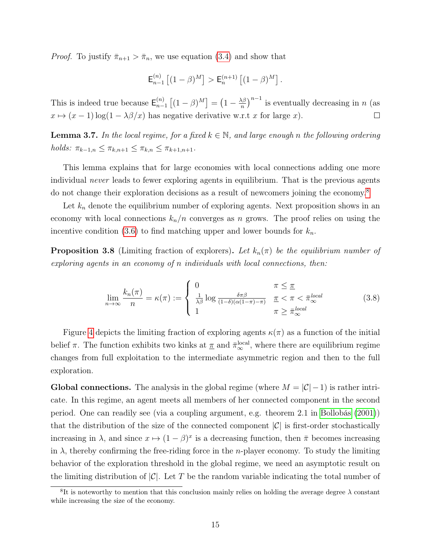*Proof.* To justify  $\bar{\pi}_{n+1} > \bar{\pi}_n$ , we use equation [\(3.4\)](#page-11-2) and show that

$$
\mathsf{E}_{n-1}^{(n)} \left[ (1-\beta)^M \right] > \mathsf{E}_n^{(n+1)} \left[ (1-\beta)^M \right].
$$

 $\left(\frac{\sqrt{\beta}}{n}\right)^{n-1}$  is eventually decreasing in n (as This is indeed true because  $\mathsf{E}_{n-}^{(n)}$  $\binom{n}{n-1}\left[(1-\beta)^M\right] = \left(1-\frac{\lambda\beta}{n}\right)$  $x \mapsto (x - 1) \log(1 - \lambda \beta / x)$  has negative derivative w.r.t x for large x).  $\Box$ 

<span id="page-14-3"></span>**Lemma 3.7.** In the local regime, for a fixed  $k \in \mathbb{N}$ , and large enough n the following ordering holds:  $\pi_{k-1,n} \leq \pi_{k,n+1} \leq \pi_{k,n} \leq \pi_{k+1,n+1}$ .

This lemma explains that for large economies with local connections adding one more individual never leads to fewer exploring agents in equilibrium. That is the previous agents do not change their exploration decisions as a result of newcomers joining the economy.<sup>[8](#page-14-0)</sup>

Let  $k_n$  denote the equilibrium number of exploring agents. Next proposition shows in an economy with local connections  $k_n/n$  converges as n grows. The proof relies on using the incentive condition [\(3.6\)](#page-12-0) to find matching upper and lower bounds for  $k_n$ .

<span id="page-14-1"></span>**Proposition 3.8** (Limiting fraction of explorers). Let  $k_n(\pi)$  be the equilibrium number of exploring agents in an economy of n individuals with local connections, then:

<span id="page-14-2"></span>
$$
\lim_{n \to \infty} \frac{k_n(\pi)}{n} = \kappa(\pi) := \begin{cases} 0 & \pi \leq \pi \\ \frac{1}{\lambda \beta} \log \frac{\delta \pi \beta}{(1 - \delta)(\alpha(1 - \pi) - \pi)} & \pi < \pi < \bar{\pi}_{\infty}^{local} \\ 1 & \pi \geq \bar{\pi}_{\infty}^{local} \end{cases} \tag{3.8}
$$

Figure [4](#page-15-0) depicts the limiting fraction of exploring agents  $\kappa(\pi)$  as a function of the initial belief  $\pi$ . The function exhibits two kinks at  $\underline{\pi}$  and  $\bar{\pi}_{\infty}^{\text{local}}$ , where there are equilibrium regime changes from full exploitation to the intermediate asymmetric region and then to the full exploration.

Global connections. The analysis in the global regime (where  $M = |\mathcal{C}| - 1$ ) is rather intricate. In this regime, an agent meets all members of her connected component in the second period. One can readily see (via a coupling argument, e.g. theorem 2.1 in [Bollobás](#page-40-7) [\(2001\)](#page-40-7)) that the distribution of the size of the connected component  $|\mathcal{C}|$  is first-order stochastically increasing in  $\lambda$ , and since  $x \mapsto (1 - \beta)^x$  is a decreasing function, then  $\bar{\pi}$  becomes increasing in  $\lambda$ , thereby confirming the free-riding force in the *n*-player economy. To study the limiting behavior of the exploration threshold in the global regime, we need an asymptotic result on the limiting distribution of  $|\mathcal{C}|$ . Let T be the random variable indicating the total number of

<span id="page-14-0"></span><sup>&</sup>lt;sup>8</sup>It is noteworthy to mention that this conclusion mainly relies on holding the average degree  $\lambda$  constant while increasing the size of the economy.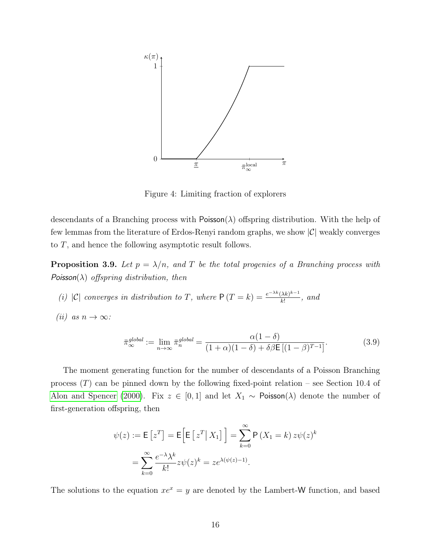<span id="page-15-0"></span>

Figure 4: Limiting fraction of explorers

descendants of a Branching process with  $Poisson(\lambda)$  offspring distribution. With the help of few lemmas from the literature of Erdos-Renyi random graphs, we show  $|\mathcal{C}|$  weakly converges to T, and hence the following asymptotic result follows.

<span id="page-15-2"></span>**Proposition 3.9.** Let  $p = \lambda/n$ , and T be the total progenies of a Branching process with Poisson( $\lambda$ ) offspring distribution, then

- <span id="page-15-3"></span>(i)  $|C|$  converges in distribution to T, where  $P(T = k) = \frac{e^{-\lambda k} (\lambda k)^{k-1}}{k!}$  $\frac{\lambda k^{\alpha}}{k!}$ , and
- <span id="page-15-4"></span>(ii) as  $n \to \infty$ :

<span id="page-15-1"></span>
$$
\bar{\pi}_{\infty}^{global} := \lim_{n \to \infty} \bar{\pi}_n^{global} = \frac{\alpha (1 - \delta)}{(1 + \alpha)(1 - \delta) + \delta \beta \mathsf{E} \left[ (1 - \beta)^{T - 1} \right]}.
$$
\n(3.9)

The moment generating function for the number of descendants of a Poisson Branching process  $(T)$  can be pinned down by the following fixed-point relation – see Section 10.4 of [Alon and Spencer](#page-40-8) [\(2000\)](#page-40-8). Fix  $z \in [0,1]$  and let  $X_1 \sim \text{Poisson}(\lambda)$  denote the number of first-generation offspring, then

$$
\psi(z) := \mathsf{E}\left[z^T\right] = \mathsf{E}\left[\mathsf{E}\left[z^T \mid X_1\right]\right] = \sum_{k=0}^{\infty} \mathsf{P}\left(X_1 = k\right) z \psi(z)^k
$$

$$
= \sum_{k=0}^{\infty} \frac{e^{-\lambda} \lambda^k}{k!} z \psi(z)^k = z e^{\lambda(\psi(z) - 1)}.
$$

The solutions to the equation  $xe^x = y$  are denoted by the Lambert-W function, and based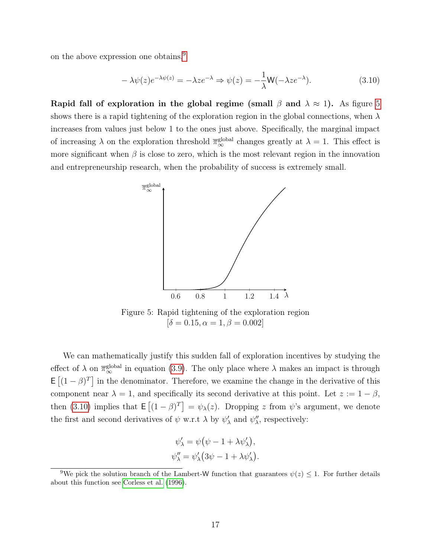on the above expression one obtains,<sup>[9](#page-16-0)</sup>

<span id="page-16-2"></span>
$$
-\lambda \psi(z)e^{-\lambda \psi(z)} = -\lambda z e^{-\lambda} \Rightarrow \psi(z) = -\frac{1}{\lambda} \mathsf{W}(-\lambda z e^{-\lambda}).\tag{3.10}
$$

<span id="page-16-1"></span>Rapid fall of exploration in the global regime (small  $\beta$  and  $\lambda \approx 1$ ). As figure [5](#page-16-1) shows there is a rapid tightening of the exploration region in the global connections, when  $\lambda$ increases from values just below 1 to the ones just above. Specifically, the marginal impact of increasing  $\lambda$  on the exploration threshold  $\overline{\pi}_{\infty}^{\text{global}}$  changes greatly at  $\lambda = 1$ . This effect is more significant when  $\beta$  is close to zero, which is the most relevant region in the innovation and entrepreneurship research, when the probability of success is extremely small.



Figure 5: Rapid tightening of the exploration region  $\delta = 0.15, \alpha = 1, \beta = 0.002$ 

We can mathematically justify this sudden fall of exploration incentives by studying the effect of  $\lambda$  on  $\overline{\pi}_{\infty}^{\text{global}}$  in equation [\(3.9\)](#page-15-1). The only place where  $\lambda$  makes an impact is through  $\mathsf{E}\left[ (1-\beta)^T \right]$  in the denominator. Therefore, we examine the change in the derivative of this component near  $\lambda = 1$ , and specifically its second derivative at this point. Let  $z := 1 - \beta$ , then [\(3.10\)](#page-16-2) implies that  $\mathsf{E}[(1-\beta)^{T}] = \psi_{\lambda}(z)$ . Dropping z from  $\psi$ 's argument, we denote the first and second derivatives of  $\psi$  w.r.t  $\lambda$  by  $\psi'_{\lambda}$  and  $\psi''_{\lambda}$ , respectively:

$$
\psi'_{\lambda} = \psi (\psi - 1 + \lambda \psi'_{\lambda}),
$$
  

$$
\psi''_{\lambda} = \psi'_{\lambda} (3\psi - 1 + \lambda \psi'_{\lambda}).
$$

<span id="page-16-0"></span><sup>&</sup>lt;sup>9</sup>We pick the solution branch of the Lambert-W function that guarantees  $\psi(z) \leq 1$ . For further details about this function see [Corless et al.](#page-40-9) [\(1996\)](#page-40-9).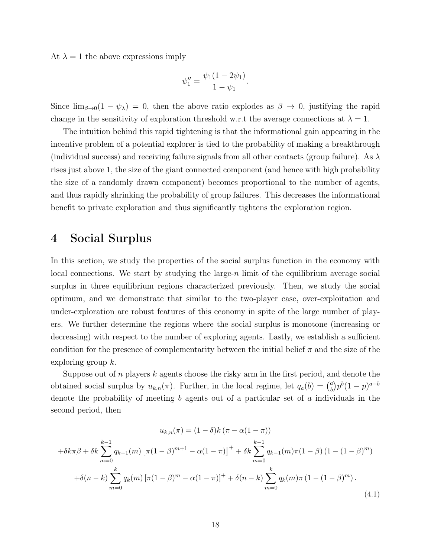At  $\lambda = 1$  the above expressions imply

$$
\psi_1'' = \frac{\psi_1(1 - 2\psi_1)}{1 - \psi_1}.
$$

Since  $\lim_{\beta\to 0}(1-\psi_\lambda)=0$ , then the above ratio explodes as  $\beta\to 0$ , justifying the rapid change in the sensitivity of exploration threshold w.r.t the average connections at  $\lambda = 1$ .

The intuition behind this rapid tightening is that the informational gain appearing in the incentive problem of a potential explorer is tied to the probability of making a breakthrough (individual success) and receiving failure signals from all other contacts (group failure). As  $\lambda$ rises just above 1, the size of the giant connected component (and hence with high probability the size of a randomly drawn component) becomes proportional to the number of agents, and thus rapidly shrinking the probability of group failures. This decreases the informational benefit to private exploration and thus significantly tightens the exploration region.

# <span id="page-17-0"></span>4 Social Surplus

In this section, we study the properties of the social surplus function in the economy with local connections. We start by studying the large-n limit of the equilibrium average social surplus in three equilibrium regions characterized previously. Then, we study the social optimum, and we demonstrate that similar to the two-player case, over-exploitation and under-exploration are robust features of this economy in spite of the large number of players. We further determine the regions where the social surplus is monotone (increasing or decreasing) with respect to the number of exploring agents. Lastly, we establish a sufficient condition for the presence of complementarity between the initial belief  $\pi$  and the size of the exploring group k.

Suppose out of n players k agents choose the risky arm in the first period, and denote the obtained social surplus by  $u_{k,n}(\pi)$ . Further, in the local regime, let  $q_a(b) = \begin{pmatrix} a & b \\ c & d \end{pmatrix}$  $\binom{a}{b} p^b (1-p)^{a-b}$ denote the probability of meeting b agents out of a particular set of a individuals in the second period, then

<span id="page-17-1"></span>
$$
u_{k,n}(\pi) = (1 - \delta)k(\pi - \alpha(1 - \pi))
$$
  
+  $\delta k \sum_{m=0}^{k-1} q_{k-1}(m) [\pi(1 - \beta)^{m+1} - \alpha(1 - \pi)]^+ + \delta k \sum_{m=0}^{k-1} q_{k-1}(m)\pi(1 - \beta) (1 - (1 - \beta)^m)$   
+  $\delta(n - k) \sum_{m=0}^{k} q_k(m) [\pi(1 - \beta)^m - \alpha(1 - \pi)]^+ + \delta(n - k) \sum_{m=0}^{k} q_k(m)\pi (1 - (1 - \beta)^m). \tag{4.1}$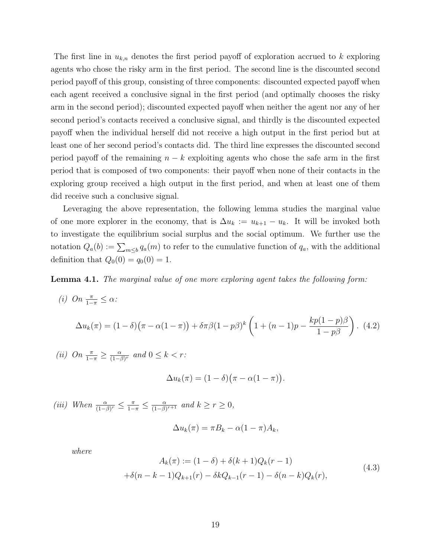The first line in  $u_{k,n}$  denotes the first period payoff of exploration accrued to k exploring agents who chose the risky arm in the first period. The second line is the discounted second period payoff of this group, consisting of three components: discounted expected payoff when each agent received a conclusive signal in the first period (and optimally chooses the risky arm in the second period); discounted expected payoff when neither the agent nor any of her second period's contacts received a conclusive signal, and thirdly is the discounted expected payoff when the individual herself did not receive a high output in the first period but at least one of her second period's contacts did. The third line expresses the discounted second period payoff of the remaining  $n - k$  exploiting agents who chose the safe arm in the first period that is composed of two components: their payoff when none of their contacts in the exploring group received a high output in the first period, and when at least one of them did receive such a conclusive signal.

Leveraging the above representation, the following lemma studies the marginal value of one more explorer in the economy, that is  $\Delta u_k := u_{k+1} - u_k$ . It will be invoked both to investigate the equilibrium social surplus and the social optimum. We further use the notation  $Q_a(b) := \sum_{m \leq b} q_a(m)$  to refer to the cumulative function of  $q_a$ , with the additional definition that  $Q_0(0) = q_0(0) = 1$ .

<span id="page-18-1"></span>Lemma 4.1. The marginal value of one more exploring agent takes the following form:

<span id="page-18-2"></span><span id="page-18-0"></span>(i) On 
$$
\frac{\pi}{1-\pi} \le \alpha
$$
:  
\n
$$
\Delta u_k(\pi) = (1-\delta)\big(\pi - \alpha(1-\pi)\big) + \delta\pi\beta(1-p\beta)^k \left(1 + (n-1)p - \frac{kp(1-p)\beta}{1-p\beta}\right). \tag{4.2}
$$

<span id="page-18-4"></span>(*ii*) On  $\frac{\pi}{1-\pi} \geq \frac{\alpha}{(1-\beta)}$  $\frac{\alpha}{(1-\beta)^r}$  and  $0 \leq k < r$ :

$$
\Delta u_k(\pi) = (1 - \delta)(\pi - \alpha(1 - \pi)).
$$

<span id="page-18-3"></span>(iii) When  $\frac{\alpha}{(1-\beta)^r} \leq \frac{\pi}{1-\pi} \leq \frac{\alpha}{(1-\beta)^r}$  $\frac{\alpha}{(1-\beta)^{r+1}}$  and  $k \geq r \geq 0$ ,

$$
\Delta u_k(\pi) = \pi B_k - \alpha (1 - \pi) A_k,
$$

where

<span id="page-18-5"></span>
$$
A_k(\pi) := (1 - \delta) + \delta(k+1)Q_k(r-1)
$$
  
+ $\delta(n-k-1)Q_{k+1}(r) - \delta k Q_{k-1}(r-1) - \delta(n-k)Q_k(r),$  (4.3)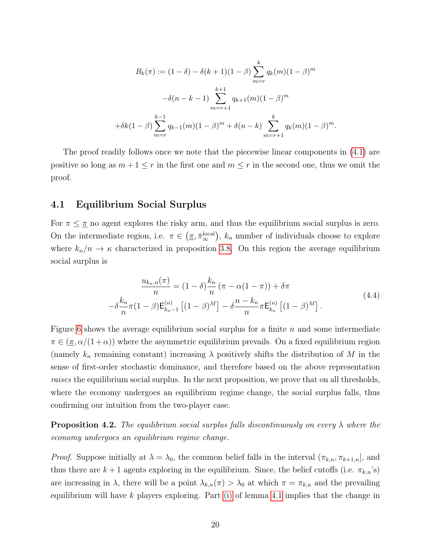$$
B_k(\pi) := (1 - \delta) - \delta(k+1)(1 - \beta) \sum_{m=r}^k q_k(m)(1 - \beta)^m
$$

$$
-\delta(n - k - 1) \sum_{m=r+1}^{k+1} q_{k+1}(m)(1 - \beta)^m
$$

$$
+ \delta k(1 - \beta) \sum_{m=r}^{k-1} q_{k-1}(m)(1 - \beta)^m + \delta(n - k) \sum_{m=r+1}^k q_k(m)(1 - \beta)^m.
$$

The proof readily follows once we note that the piecewise linear components in [\(4.1\)](#page-17-1) are positive so long as  $m+1 \leq r$  in the first one and  $m \leq r$  in the second one, thus we omit the proof.

### <span id="page-19-0"></span>4.1 Equilibrium Social Surplus

For  $\pi \leq \pi$  no agent explores the risky arm, and thus the equilibrium social surplus is zero. On the intermediate region, i.e.  $\pi \in (\pi, \bar{\pi}_{\infty}^{\text{local}})$  $\int_{\infty}^{\text{local}}$ ,  $k_n$  number of individuals choose to explore where  $k_n/n \to \kappa$  characterized in proposition [3.8.](#page-14-1) On this region the average equilibrium social surplus is

<span id="page-19-1"></span>
$$
\frac{u_{k_n,n}(\pi)}{n} = (1 - \delta)\frac{k_n}{n}(\pi - \alpha(1 - \pi)) + \delta\pi
$$
  

$$
-\delta\frac{k_n}{n}\pi(1 - \beta)\mathsf{E}_{k_n-1}^{(n)}[(1 - \beta)^M] - \delta\frac{n - k_n}{n}\pi\mathsf{E}_{k_n}^{(n)}[(1 - \beta)^M].
$$
 (4.4)

Figure [6](#page-20-0) shows the average equilibrium social surplus for a finite  $n$  and some intermediate  $\pi \in (\pi, \alpha/(1+\alpha))$  where the asymmetric equilibrium prevails. On a fixed equilibrium region (namely  $k_n$  remaining constant) increasing  $\lambda$  positively shifts the distribution of M in the sense of first-order stochastic dominance, and therefore based on the above representation raises the equilibrium social surplus. In the next proposition, we prove that on all thresholds, where the economy undergoes an equilibrium regime change, the social surplus falls, thus confirming our intuition from the two-player case.

**Proposition 4.2.** The equilibrium social surplus falls discontinuously on every  $\lambda$  where the economy undergoes an equilibrium regime change.

*Proof.* Suppose initially at  $\lambda = \lambda_0$ , the common belief falls in the interval  $(\pi_{k,n}, \pi_{k+1,n}]$ , and thus there are  $k+1$  agents exploring in the equilibrium. Since, the belief cutoffs (i.e.  $\pi_{k,n}$ 's) are increasing in  $\lambda$ , there will be a point  $\lambda_{k,n}(\pi) > \lambda_0$  at which  $\pi = \pi_{k,n}$  and the prevailing equilibrium will have  $k$  players exploring. Part [\(i\)](#page-18-0) of lemma [4.1](#page-18-1) implies that the change in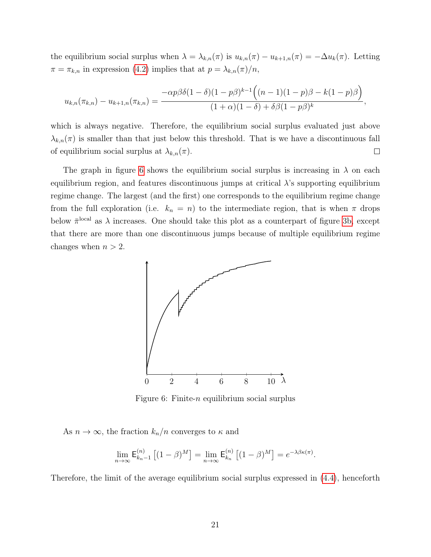the equilibrium social surplus when  $\lambda = \lambda_{k,n}(\pi)$  is  $u_{k,n}(\pi) - u_{k+1,n}(\pi) = -\Delta u_k(\pi)$ . Letting  $\pi = \pi_{k,n}$  in expression [\(4.2\)](#page-18-2) implies that at  $p = \lambda_{k,n}(\pi)/n$ ,

$$
u_{k,n}(\pi_{k,n}) - u_{k+1,n}(\pi_{k,n}) = \frac{-\alpha p \beta \delta (1-\delta)(1-p \beta)^{k-1} ((n-1)(1-p) \beta - k(1-p) \beta)}{(1+\alpha)(1-\delta) + \delta \beta (1-p \beta)^k},
$$

which is always negative. Therefore, the equilibrium social surplus evaluated just above  $\lambda_{k,n}(\pi)$  is smaller than that just below this threshold. That is we have a discontinuous fall  $\Box$ of equilibrium social surplus at  $\lambda_{k,n}(\pi)$ .

The graph in figure [6](#page-20-0) shows the equilibrium social surplus is increasing in  $\lambda$  on each equilibrium region, and features discontinuous jumps at critical  $\lambda$ 's supporting equilibrium regime change. The largest (and the first) one corresponds to the equilibrium regime change from the full exploration (i.e.  $k_n = n$ ) to the intermediate region, that is when  $\pi$  drops below  $\bar{\pi}^{\text{local}}$  as  $\lambda$  increases. One should take this plot as a counterpart of figure [3b,](#page-7-0) except that there are more than one discontinuous jumps because of multiple equilibrium regime changes when  $n > 2$ .

<span id="page-20-0"></span>

Figure 6: Finite-n equilibrium social surplus

As  $n \to \infty$ , the fraction  $k_n/n$  converges to  $\kappa$  and

$$
\lim_{n \to \infty} \mathsf{E}_{k_n-1}^{(n)} \left[ (1-\beta)^M \right] = \lim_{n \to \infty} \mathsf{E}_{k_n}^{(n)} \left[ (1-\beta)^M \right] = e^{-\lambda \beta \kappa(\pi)}.
$$

Therefore, the limit of the average equilibrium social surplus expressed in [\(4.4\)](#page-19-1), henceforth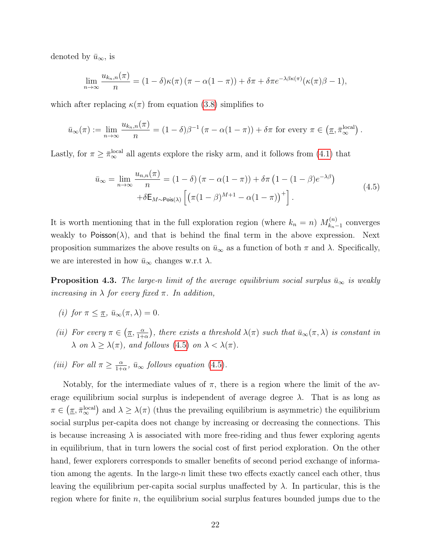denoted by  $\bar{u}_{\infty}$ , is

$$
\lim_{n \to \infty} \frac{u_{k_n,n}(\pi)}{n} = (1 - \delta)\kappa(\pi) (\pi - \alpha(1 - \pi)) + \delta \pi + \delta \pi e^{-\lambda \beta \kappa(\pi)}(\kappa(\pi)\beta - 1),
$$

which after replacing  $\kappa(\pi)$  from equation [\(3.8\)](#page-14-2) simplifies to

$$
\bar{u}_{\infty}(\pi) := \lim_{n \to \infty} \frac{u_{k_n,n}(\pi)}{n} = (1 - \delta)\beta^{-1}(\pi - \alpha(1 - \pi)) + \delta\pi
$$
 for every  $\pi \in (\underline{\pi}, \overline{\pi}_{\infty}^{\text{local}}).$ 

Lastly, for  $\pi \geq \bar{\pi}_{\infty}^{\text{local}}$  all agents explore the risky arm, and it follows from [\(4.1\)](#page-17-1) that

<span id="page-21-0"></span>
$$
\bar{u}_{\infty} = \lim_{n \to \infty} \frac{u_{n,n}(\pi)}{n} = (1 - \delta) (\pi - \alpha(1 - \pi)) + \delta \pi (1 - (1 - \beta)e^{-\lambda \beta})
$$
  
 
$$
+ \delta \mathsf{E}_{M \sim \text{Pois}(\lambda)} \left[ \left( \pi (1 - \beta)^{M+1} - \alpha (1 - \pi) \right)^{+} \right].
$$
 (4.5)

It is worth mentioning that in the full exploration region (where  $k_n = n$ )  $M_{k_n}^{(n)}$  $\binom{n}{k_n-1}$  converges weakly to Poisson( $\lambda$ ), and that is behind the final term in the above expression. Next proposition summarizes the above results on  $\bar{u}_{\infty}$  as a function of both  $\pi$  and  $\lambda$ . Specifically, we are interested in how  $\bar{u}_{\infty}$  changes w.r.t  $\lambda$ .

**Proposition 4.3.** The large-n limit of the average equilibrium social surplus  $\bar{u}_{\infty}$  is weakly increasing in  $\lambda$  for every fixed  $\pi$ . In addition,

- (i) for  $\pi \leq \pi$ ,  $\bar{u}_{\infty}(\pi, \lambda) = 0$ .
- (*ii*) For every  $\pi \in (\pi, \frac{\alpha}{1+r})$  $\frac{\alpha}{1+\alpha}$ ), there exists a threshold  $\lambda(\pi)$  such that  $\bar{u}_{\infty}(\pi, \lambda)$  is constant in  $\lambda$  on  $\lambda \geq \lambda(\pi)$ , and follows [\(4.5\)](#page-21-0) on  $\lambda < \lambda(\pi)$ .
- (*iii*) For all  $\pi \geq \frac{\alpha}{1+}$  $\frac{\alpha}{1+\alpha}$ ,  $\bar{u}_{\infty}$  follows equation [\(4.5\)](#page-21-0).

Notably, for the intermediate values of  $\pi$ , there is a region where the limit of the average equilibrium social surplus is independent of average degree  $\lambda$ . That is as long as  $\pi \in (\underline{\pi}, \bar{\pi}_{\infty}^{\mathrm{local}})$  $\binom{\text{local}}{\infty}$  and  $\lambda \geq \lambda(\pi)$  (thus the prevailing equilibrium is asymmetric) the equilibrium social surplus per-capita does not change by increasing or decreasing the connections. This is because increasing  $\lambda$  is associated with more free-riding and thus fewer exploring agents in equilibrium, that in turn lowers the social cost of first period exploration. On the other hand, fewer explorers corresponds to smaller benefits of second period exchange of information among the agents. In the large-n limit these two effects exactly cancel each other, thus leaving the equilibrium per-capita social surplus unaffected by  $\lambda$ . In particular, this is the region where for finite  $n$ , the equilibrium social surplus features bounded jumps due to the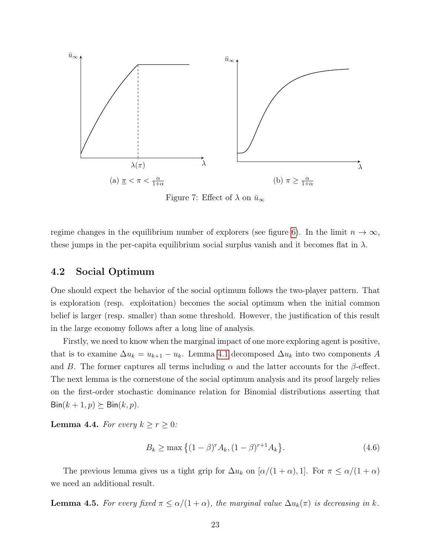

Figure 7: Effect of  $\lambda$  on  $\bar{u}_{\infty}$ 

regime changes in the equilibrium number of explorers (see figure [6\)](#page-20-0). In the limit  $n \to \infty$ , these jumps in the per-capita equilibrium social surplus vanish and it becomes flat in  $\lambda$ .

### <span id="page-22-0"></span>4.2 Social Optimum

One should expect the behavior of the social optimum follows the two-player pattern. That is exploration (resp. exploitation) becomes the social optimum when the initial common belief is larger (resp. smaller) than some threshold. However, the justification of this result in the large economy follows after a long line of analysis.

Firstly, we need to know when the marginal impact of one more exploring agent is positive, that is to examine  $\Delta u_k = u_{k+1} - u_k$ . Lemma [4.1](#page-18-1) decomposed  $\Delta u_k$  into two components A and B. The former captures all terms including  $\alpha$  and the latter accounts for the  $\beta$ -effect. The next lemma is the cornerstone of the social optimum analysis and its proof largely relies on the first-order stochastic dominance relation for Binomial distributions asserting that  $\text{Bin}(k + 1, p) \succeq \text{Bin}(k, p).$ 

<span id="page-22-1"></span>**Lemma 4.4.** For every  $k \geq r \geq 0$ :

<span id="page-22-3"></span>
$$
B_k \ge \max\left\{ (1 - \beta)^r A_k, (1 - \beta)^{r+1} A_k \right\}.
$$
\n(4.6)

The previous lemma gives us a tight grip for  $\Delta u_k$  on  $[\alpha/(1+\alpha),1]$ . For  $\pi \leq \alpha/(1+\alpha)$ we need an additional result.

<span id="page-22-2"></span>**Lemma 4.5.** For every fixed  $\pi \leq \alpha/(1+\alpha)$ , the marginal value  $\Delta u_k(\pi)$  is decreasing in k.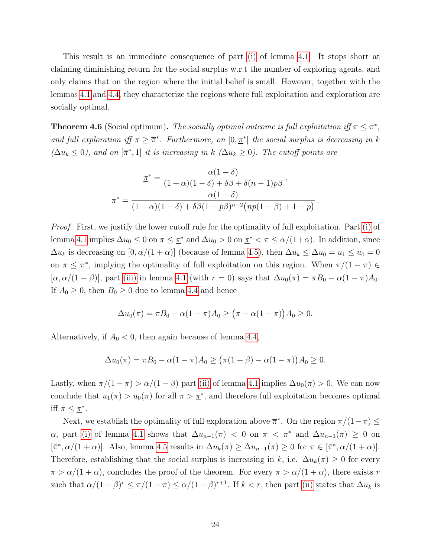This result is an immediate consequence of part [\(i\)](#page-18-0) of lemma [4.1.](#page-18-1) It stops short at claiming diminishing return for the social surplus w.r.t the number of exploring agents, and only claims that on the region where the initial belief is small. However, together with the lemmas [4.1](#page-18-1) and [4.4,](#page-22-1) they characterize the regions where full exploitation and exploration are socially optimal.

**Theorem 4.6** (Social optimum). The socially optimal outcome is full exploitation iff  $\pi \leq \pi^*$ , and full exploration iff  $\pi \geq \overline{\pi}^*$ . Furthermore, on  $[0, \underline{\pi}^*]$  the social surplus is decreasing in k  $(\Delta u_k \leq 0)$ , and on  $[\overline{\pi}^*, 1]$  it is increasing in k  $(\Delta u_k \geq 0)$ . The cutoff points are

$$
\underline{\pi}^* = \frac{\alpha(1-\delta)}{(1+\alpha)(1-\delta)+\delta\beta+\delta(n-1)p\beta},
$$

$$
\overline{\pi}^* = \frac{\alpha(1-\delta)}{(1+\alpha)(1-\delta)+\delta\beta(1-p\beta)^{n-2}(np(1-\beta)+1-p)}.
$$

Proof. First, we justify the lower cutoff rule for the optimality of full exploitation. Part [\(i\)](#page-18-0) of lemma [4.1](#page-18-1) implies  $\Delta u_0 \leq 0$  on  $\pi \leq \pi^*$  and  $\Delta u_0 > 0$  on  $\pi^* < \pi \leq \alpha/(1+\alpha)$ . In addition, since  $\Delta u_k$  is decreasing on  $[0, \alpha/(1+\alpha)]$  (because of lemma [4.5\)](#page-22-2), then  $\Delta u_k \leq \Delta u_0 = u_1 \leq u_0 = 0$ on  $\pi \leq \pi^*$ , implying the optimality of full exploitation on this region. When  $\pi/(1-\pi) \in$  $[\alpha, \alpha/(1-\beta)]$ , part [\(iii\)](#page-18-3) in lemma [4.1](#page-18-1) (with  $r=0$ ) says that  $\Delta u_0(\pi) = \pi B_0 - \alpha(1-\pi)A_0$ . If  $A_0 \geq 0$ , then  $B_0 \geq 0$  due to lemma [4.4](#page-22-1) and hence

$$
\Delta u_0(\pi) = \pi B_0 - \alpha (1 - \pi) A_0 \ge (\pi - \alpha (1 - \pi)) A_0 \ge 0.
$$

Alternatively, if  $A_0 < 0$ , then again because of lemma [4.4,](#page-22-1)

$$
\Delta u_0(\pi) = \pi B_0 - \alpha (1 - \pi) A_0 \ge (\pi (1 - \beta) - \alpha (1 - \pi)) A_0 \ge 0.
$$

Lastly, when  $\pi/(1 - \pi) > \alpha/(1 - \beta)$  part [\(ii\)](#page-18-4) of lemma [4.1](#page-18-1) implies  $\Delta u_0(\pi) > 0$ . We can now conclude that  $u_1(\pi) > u_0(\pi)$  for all  $\pi > \pi^*$ , and therefore full exploitation becomes optimal iff  $\pi \leq \pi^*$ .

Next, we establish the optimality of full exploration above  $\overline{\pi}^*$ . On the region  $\pi/(1-\pi) \leq$  $\alpha$ , part [\(i\)](#page-18-0) of lemma [4.1](#page-18-1) shows that  $\Delta u_{n-1}(\pi) < 0$  on  $\pi < \overline{\pi}^*$  and  $\Delta u_{n-1}(\pi) \geq 0$  on  $[\bar{\pi}^*, \alpha/(1+\alpha)]$ . Also, lemma [4.5](#page-22-2) results in  $\Delta u_k(\pi) \geq \Delta u_{n-1}(\pi) \geq 0$  for  $\pi \in [\bar{\pi}^*, \alpha/(1+\alpha)]$ . Therefore, establishing that the social surplus is increasing in k, i.e.  $\Delta u_k(\pi) \geq 0$  for every  $\pi > \alpha/(1+\alpha)$ , concludes the proof of the theorem. For every  $\pi > \alpha/(1+\alpha)$ , there exists r such that  $\alpha/(1-\beta)^r \leq \pi/(1-\pi) \leq \alpha/(1-\beta)^{r+1}$ . If  $k < r$ , then part [\(ii\)](#page-18-4) states that  $\Delta u_k$  is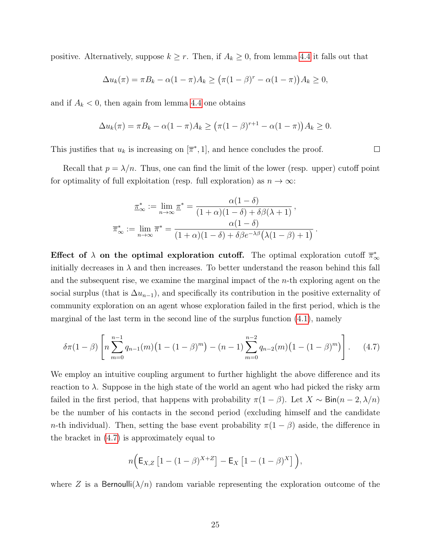positive. Alternatively, suppose  $k \geq r$ . Then, if  $A_k \geq 0$ , from lemma [4.4](#page-22-1) it falls out that

$$
\Delta u_k(\pi) = \pi B_k - \alpha (1 - \pi) A_k \ge (\pi (1 - \beta)^r - \alpha (1 - \pi)) A_k \ge 0,
$$

and if  $A_k < 0$ , then again from lemma [4.4](#page-22-1) one obtains

$$
\Delta u_k(\pi) = \pi B_k - \alpha (1 - \pi) A_k \ge (\pi (1 - \beta)^{r+1} - \alpha (1 - \pi)) A_k \ge 0.
$$

This justifies that  $u_k$  is increasing on  $[\overline{\pi}^*, 1]$ , and hence concludes the proof.

Recall that  $p = \lambda/n$ . Thus, one can find the limit of the lower (resp. upper) cutoff point for optimality of full exploitation (resp. full exploration) as  $n \to \infty$ :

$$
\underline{\pi}_{\infty}^* := \lim_{n \to \infty} \underline{\pi}^* = \frac{\alpha(1 - \delta)}{(1 + \alpha)(1 - \delta) + \delta\beta(\lambda + 1)},
$$

$$
\overline{\pi}_{\infty}^* := \lim_{n \to \infty} \overline{\pi}^* = \frac{\alpha(1 - \delta)}{(1 + \alpha)(1 - \delta) + \delta\beta e^{-\lambda\beta}(\lambda(1 - \beta) + 1)}.
$$

Effect of  $\lambda$  on the optimal exploration cutoff. The optimal exploration cutoff  $\bar{\pi}_{\infty}^*$ initially decreases in  $\lambda$  and then increases. To better understand the reason behind this fall and the subsequent rise, we examine the marginal impact of the n-th exploring agent on the social surplus (that is  $\Delta u_{n-1}$ ), and specifically its contribution in the positive externality of community exploration on an agent whose exploration failed in the first period, which is the marginal of the last term in the second line of the surplus function [\(4.1\)](#page-17-1), namely

<span id="page-24-0"></span>
$$
\delta\pi(1-\beta)\left[n\sum_{m=0}^{n-1}q_{n-1}(m)\left(1-(1-\beta)^m\right)-(n-1)\sum_{m=0}^{n-2}q_{n-2}(m)\left(1-(1-\beta)^m\right)\right].\tag{4.7}
$$

We employ an intuitive coupling argument to further highlight the above difference and its reaction to  $\lambda$ . Suppose in the high state of the world an agent who had picked the risky arm failed in the first period, that happens with probability  $\pi(1-\beta)$ . Let  $X \sim Bin(n-2,\lambda/n)$ be the number of his contacts in the second period (excluding himself and the candidate n-th individual). Then, setting the base event probability  $\pi(1-\beta)$  aside, the difference in the bracket in [\(4.7\)](#page-24-0) is approximately equal to

$$
n\Big(\mathsf{E}_{X,Z}\left[1-(1-\beta)^{X+Z}\right]-\mathsf{E}_X\left[1-(1-\beta)^{X}\right]\Big),\,
$$

where Z is a Bernoulli $(\lambda/n)$  random variable representing the exploration outcome of the

 $\Box$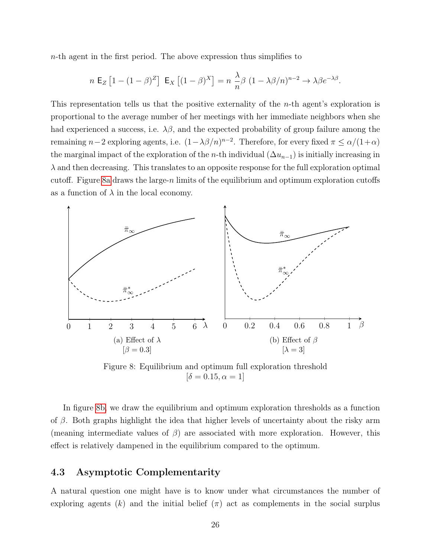$n$ -th agent in the first period. The above expression thus simplifies to

$$
n \mathsf{E}_Z \left[ 1 - (1 - \beta)^Z \right] \mathsf{E}_X \left[ (1 - \beta)^X \right] = n \frac{\lambda}{n} \beta \ (1 - \lambda \beta/n)^{n-2} \to \lambda \beta e^{-\lambda \beta}.
$$

This representation tells us that the positive externality of the n-th agent's exploration is proportional to the average number of her meetings with her immediate neighbors when she had experienced a success, i.e.  $\lambda\beta$ , and the expected probability of group failure among the remaining  $n-2$  exploring agents, i.e.  $(1-\lambda\beta/n)^{n-2}$ . Therefore, for every fixed  $\pi \le \alpha/(1+\alpha)$ the marginal impact of the exploration of the *n*-th individual  $(\Delta u_{n-1})$  is initially increasing in  $\lambda$  and then decreasing. This translates to an opposite response for the full exploration optimal cutoff. Figure [8a](#page-25-0) draws the large-n limits of the equilibrium and optimum exploration cutoffs as a function of  $\lambda$  in the local economy.

<span id="page-25-0"></span>

Figure 8: Equilibrium and optimum full exploration threshold  $[\delta = 0.15, \alpha = 1]$ 

In figure [8b,](#page-25-0) we draw the equilibrium and optimum exploration thresholds as a function of  $\beta$ . Both graphs highlight the idea that higher levels of uncertainty about the risky arm (meaning intermediate values of  $\beta$ ) are associated with more exploration. However, this effect is relatively dampened in the equilibrium compared to the optimum.

### 4.3 Asymptotic Complementarity

A natural question one might have is to know under what circumstances the number of exploring agents (k) and the initial belief  $(\pi)$  act as complements in the social surplus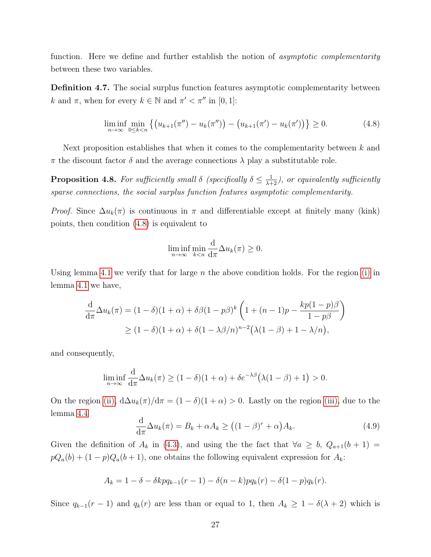function. Here we define and further establish the notion of *asymptotic complementarity* between these two variables.

**Definition 4.7.** The social surplus function features asymptotic complementarity between k and  $\pi$ , when for every  $k \in \mathbb{N}$  and  $\pi' < \pi''$  in [0, 1]:

<span id="page-26-0"></span>
$$
\liminf_{n \to \infty} \min_{0 \le k < n} \left\{ \left( u_{k+1}(\pi'') - u_k(\pi'') \right) - \left( u_{k+1}(\pi') - u_k(\pi') \right) \right\} \ge 0. \tag{4.8}
$$

Next proposition establishes that when it comes to the complementarity between  $k$  and  $\pi$  the discount factor  $\delta$  and the average connections  $\lambda$  play a substitutable role.

**Proposition 4.8.** For sufficiently small  $\delta$  (specifically  $\delta \leq \frac{1}{\lambda+2}$ ), or equivalently sufficiently sparse connections, the social surplus function features asymptotic complementarity.

*Proof.* Since  $\Delta u_k(\pi)$  is continuous in  $\pi$  and differentiable except at finitely many (kink) points, then condition [\(4.8\)](#page-26-0) is equivalent to

$$
\liminf_{n \to \infty} \min_{k < n} \frac{\mathrm{d}}{\mathrm{d}\pi} \Delta u_k(\pi) \ge 0.
$$

Using lemma [4.1](#page-18-1) we verify that for large  $n$  the above condition holds. For the region [\(i\)](#page-18-0) in lemma [4.1](#page-18-1) we have,

$$
\frac{\mathrm{d}}{\mathrm{d}\pi}\Delta u_k(\pi) = (1-\delta)(1+\alpha) + \delta\beta(1-p\beta)^k \left(1 + (n-1)p - \frac{kp(1-p)\beta}{1-p\beta}\right)
$$
  
\n
$$
\geq (1-\delta)(1+\alpha) + \delta(1-\lambda\beta/n)^{n-2} \left(\lambda(1-\beta) + 1 - \lambda/n\right),
$$

and consequently,

$$
\liminf_{n\to\infty}\frac{\mathrm{d}}{\mathrm{d}\pi}\Delta u_k(\pi)\geq (1-\delta)(1+\alpha)+\delta e^{-\lambda\beta}\big(\lambda(1-\beta)+1\big)>0.
$$

On the region [\(ii\),](#page-18-4)  $d\Delta u_k(\pi)/d\pi = (1 - \delta)(1 + \alpha) > 0$ . Lastly on the region [\(iii\),](#page-18-3) due to the lemma [4.4](#page-22-1)

<span id="page-26-1"></span>
$$
\frac{\mathrm{d}}{\mathrm{d}\pi}\Delta u_k(\pi) = B_k + \alpha A_k \ge \left( (1 - \beta)^r + \alpha \right) A_k. \tag{4.9}
$$

Given the definition of  $A_k$  in [\(4.3\)](#page-18-5), and using the the fact that  $\forall a \geq b$ ,  $Q_{a+1}(b+1)$  $pQ_a(b) + (1-p)Q_a(b+1)$ , one obtains the following equivalent expression for  $A_k$ :

$$
A_k = 1 - \delta - \delta k p q_{k-1}(r-1) - \delta(n-k) p q_k(r) - \delta(1-p) q_k(r).
$$

Since  $q_{k-1}(r-1)$  and  $q_k(r)$  are less than or equal to 1, then  $A_k \geq 1 - \delta(\lambda + 2)$  which is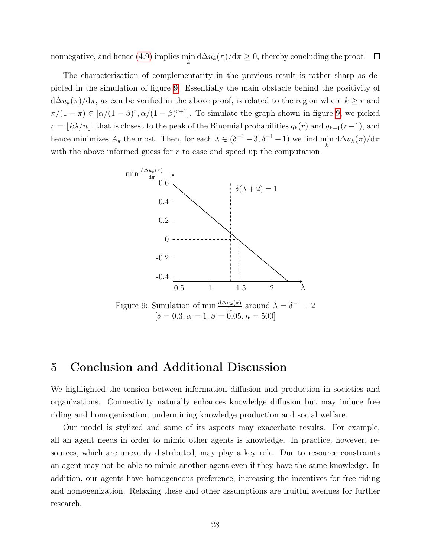nonnegative, and hence [\(4.9\)](#page-26-1) implies  $\min_k d\Delta u_k(\pi)/d\pi \geq 0$ , thereby concluding the proof.  $\Box$ 

The characterization of complementarity in the previous result is rather sharp as depicted in the simulation of figure [9.](#page-27-0) Essentially the main obstacle behind the positivity of  $d\Delta u_k(\pi)/d\pi$ , as can be verified in the above proof, is related to the region where  $k \geq r$  and  $\pi/(1-\pi) \in [\alpha/(1-\beta)^r, \alpha/(1-\beta)^{r+1}]$ . To simulate the graph shown in figure [9,](#page-27-0) we picked  $r = \lfloor k\lambda/n \rfloor$ , that is closest to the peak of the Binomial probabilities  $q_k(r)$  and  $q_{k-1}(r-1)$ , and hence minimizes  $A_k$  the most. Then, for each  $\lambda \in (\delta^{-1} - 3, \delta^{-1} - 1)$  we find  $\min_k d\Delta u_k(\pi)/d\pi$ with the above informed guess for  $r$  to ease and speed up the computation.

<span id="page-27-0"></span>

# 5 Conclusion and Additional Discussion

We highlighted the tension between information diffusion and production in societies and organizations. Connectivity naturally enhances knowledge diffusion but may induce free riding and homogenization, undermining knowledge production and social welfare.

Our model is stylized and some of its aspects may exacerbate results. For example, all an agent needs in order to mimic other agents is knowledge. In practice, however, resources, which are unevenly distributed, may play a key role. Due to resource constraints an agent may not be able to mimic another agent even if they have the same knowledge. In addition, our agents have homogeneous preference, increasing the incentives for free riding and homogenization. Relaxing these and other assumptions are fruitful avenues for further research.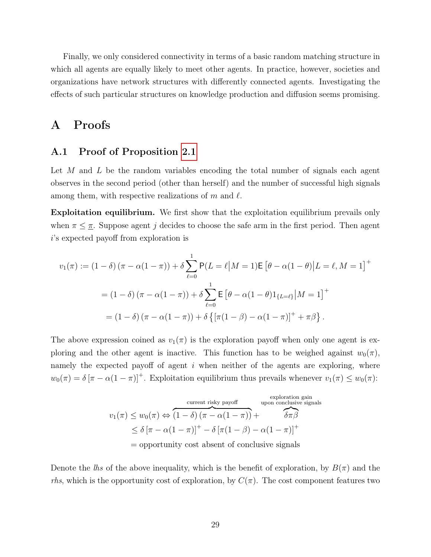Finally, we only considered connectivity in terms of a basic random matching structure in which all agents are equally likely to meet other agents. In practice, however, societies and organizations have network structures with differently connected agents. Investigating the effects of such particular structures on knowledge production and diffusion seems promising.

# A Proofs

### A.1 Proof of Proposition [2.1](#page-5-3)

Let M and L be the random variables encoding the total number of signals each agent observes in the second period (other than herself) and the number of successful high signals among them, with respective realizations of m and  $\ell$ .

Exploitation equilibrium. We first show that the exploitation equilibrium prevails only when  $\pi \leq \pi$ . Suppose agent j decides to choose the safe arm in the first period. Then agent i's expected payoff from exploration is

$$
v_1(\pi) := (1 - \delta) (\pi - \alpha(1 - \pi)) + \delta \sum_{\ell=0}^1 P(L = \ell | M = 1) \mathsf{E} [\theta - \alpha(1 - \theta) | L = \ell, M = 1]^+
$$
  
=  $(1 - \delta) (\pi - \alpha(1 - \pi)) + \delta \sum_{\ell=0}^1 \mathsf{E} [\theta - \alpha(1 - \theta) 1_{\{L = \ell\}} | M = 1]^+$   
=  $(1 - \delta) (\pi - \alpha(1 - \pi)) + \delta \{ [\pi(1 - \beta) - \alpha(1 - \pi)]^+ + \pi \beta \}.$ 

The above expression coined as  $v_1(\pi)$  is the exploration payoff when only one agent is exploring and the other agent is inactive. This function has to be weighed against  $w_0(\tau)$ . namely the expected payoff of agent  $i$  when neither of the agents are exploring, where  $w_0(\pi) = \delta [\pi - \alpha(1 - \pi)]^+$ . Exploitation equilibrium thus prevails whenever  $v_1(\pi) \leq w_0(\pi)$ :

$$
v_1(\pi) \le w_0(\pi) \Leftrightarrow \overbrace{(1-\delta)(\pi-\alpha(1-\pi))}^{\text{current risky payoff}} + \overbrace{\delta\pi\beta}^{\text{exploration gain}}
$$
  

$$
\le \delta [\pi-\alpha(1-\pi)]^+ - \delta [\pi(1-\beta)-\alpha(1-\pi)]^+
$$
  
= opportunity cost absent of conclusive signals

Denote the lhs of the above inequality, which is the benefit of exploration, by  $B(\pi)$  and the rhs, which is the opportunity cost of exploration, by  $C(\pi)$ . The cost component features two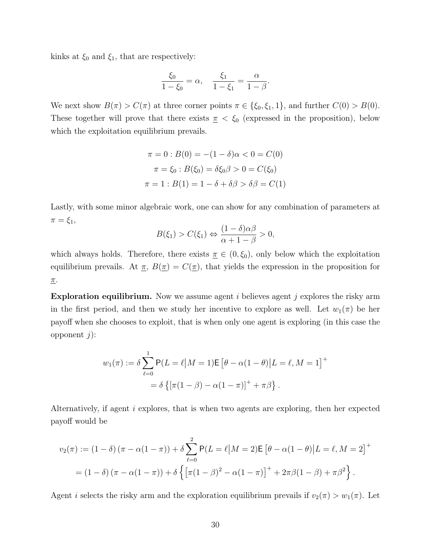kinks at  $\xi_0$  and  $\xi_1$ , that are respectively:

$$
\frac{\xi_0}{1-\xi_0} = \alpha, \quad \frac{\xi_1}{1-\xi_1} = \frac{\alpha}{1-\beta}.
$$

We next show  $B(\pi) > C(\pi)$  at three corner points  $\pi \in \{\xi_0, \xi_1, 1\}$ , and further  $C(0) > B(0)$ . These together will prove that there exists  $\pi < \xi_0$  (expressed in the proposition), below which the exploitation equilibrium prevails.

$$
\pi = 0 : B(0) = -(1 - \delta)\alpha < 0 = C(0)
$$

$$
\pi = \xi_0 : B(\xi_0) = \delta \xi_0 \beta > 0 = C(\xi_0)
$$

$$
\pi = 1 : B(1) = 1 - \delta + \delta \beta > \delta \beta = C(1)
$$

Lastly, with some minor algebraic work, one can show for any combination of parameters at  $\pi = \xi_1$ ,

$$
B(\xi_1) > C(\xi_1) \Leftrightarrow \frac{(1-\delta)\alpha\beta}{\alpha+1-\beta} > 0,
$$

which always holds. Therefore, there exists  $\pi \in (0, \xi_0)$ , only below which the exploitation equilibrium prevails. At  $\pi$ ,  $B(\pi) = C(\pi)$ , that yields the expression in the proposition for  $\underline{\pi}$ .

**Exploration equilibrium.** Now we assume agent  $i$  believes agent  $j$  explores the risky arm in the first period, and then we study her incentive to explore as well. Let  $w_1(\pi)$  be her payoff when she chooses to exploit, that is when only one agent is exploring (in this case the opponent  $j$ :

$$
w_1(\pi) := \delta \sum_{\ell=0}^1 P(L = \ell | M = 1) \mathsf{E} \left[ \theta - \alpha (1 - \theta) | L = \ell, M = 1 \right]^+
$$

$$
= \delta \left\{ \left[ \pi (1 - \beta) - \alpha (1 - \pi) \right]^+ + \pi \beta \right\}.
$$

Alternatively, if agent i explores, that is when two agents are exploring, then her expected payoff would be

$$
v_2(\pi) := (1 - \delta) (\pi - \alpha(1 - \pi)) + \delta \sum_{\ell=0}^2 P(L = \ell | M = 2) E [\theta - \alpha(1 - \theta) | L = \ell, M = 2]^+
$$
  
=  $(1 - \delta) (\pi - \alpha(1 - \pi)) + \delta \{ [\pi(1 - \beta)^2 - \alpha(1 - \pi)]^+ + 2\pi\beta(1 - \beta) + \pi\beta^2 \}.$ 

Agent *i* selects the risky arm and the exploration equilibrium prevails if  $v_2(\pi) > w_1(\pi)$ . Let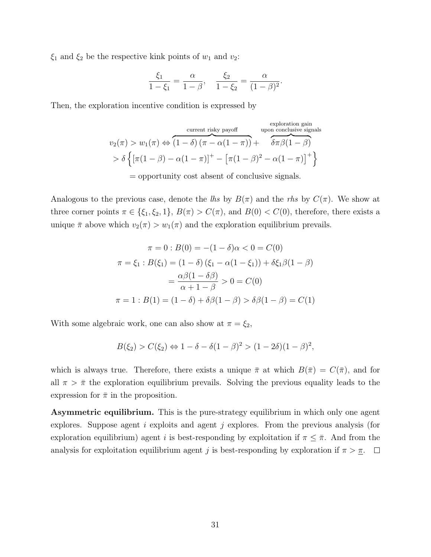$\xi_1$  and  $\xi_2$  be the respective kink points of  $w_1$  and  $v_2$ :

$$
\frac{\xi_1}{1-\xi_1} = \frac{\alpha}{1-\beta}, \quad \frac{\xi_2}{1-\xi_2} = \frac{\alpha}{(1-\beta)^2}.
$$

Then, the exploration incentive condition is expressed by

$$
v_2(\pi) > w_1(\pi) \Leftrightarrow \overbrace{(1-\delta) (\pi - \alpha(1-\pi))}^{\text{current risky payoff}} + \overbrace{\delta \pi \beta(1-\beta)}^{\text{exploration gain}}
$$
  
> 
$$
\delta \left\{ [\pi(1-\beta) - \alpha(1-\pi)]^+ - [\pi(1-\beta)^2 - \alpha(1-\pi)]^+ \right\}
$$
  
= opportunity cost absent of conclusive signals.

Analogous to the previous case, denote the lhs by  $B(\pi)$  and the rhs by  $C(\pi)$ . We show at three corner points  $\pi \in \{\xi_1, \xi_2, 1\}, B(\pi) > C(\pi)$ , and  $B(0) < C(0)$ , therefore, there exists a unique  $\bar{\pi}$  above which  $v_2(\pi) > w_1(\pi)$  and the exploration equilibrium prevails.

$$
\pi = 0 : B(0) = -(1 - \delta)\alpha < 0 = C(0)
$$
  

$$
\pi = \xi_1 : B(\xi_1) = (1 - \delta) (\xi_1 - \alpha(1 - \xi_1)) + \delta \xi_1 \beta (1 - \beta)
$$
  

$$
= \frac{\alpha \beta (1 - \delta \beta)}{\alpha + 1 - \beta} > 0 = C(0)
$$
  

$$
\pi = 1 : B(1) = (1 - \delta) + \delta \beta (1 - \beta) > \delta \beta (1 - \beta) = C(1)
$$

With some algebraic work, one can also show at  $\pi = \xi_2$ ,

$$
B(\xi_2) > C(\xi_2) \Leftrightarrow 1 - \delta - \delta(1 - \beta)^2 > (1 - 2\delta)(1 - \beta)^2,
$$

which is always true. Therefore, there exists a unique  $\bar{\pi}$  at which  $B(\bar{\pi}) = C(\bar{\pi})$ , and for all  $\pi > \bar{\pi}$  the exploration equilibrium prevails. Solving the previous equality leads to the expression for  $\bar{\pi}$  in the proposition.

Asymmetric equilibrium. This is the pure-strategy equilibrium in which only one agent explores. Suppose agent  $i$  exploits and agent  $j$  explores. From the previous analysis (for exploration equilibrium) agent i is best-responding by exploitation if  $\pi \leq \bar{\pi}$ . And from the analysis for exploitation equilibrium agent j is best-responding by exploration if  $\pi > \underline{\pi}$ .  $\Box$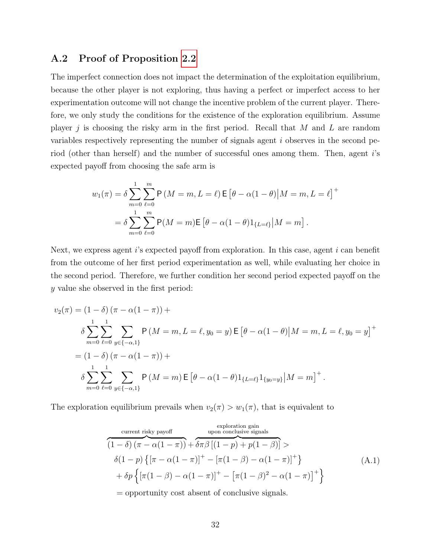### A.2 Proof of Proposition [2.2](#page-6-0)

The imperfect connection does not impact the determination of the exploitation equilibrium, because the other player is not exploring, thus having a perfect or imperfect access to her experimentation outcome will not change the incentive problem of the current player. Therefore, we only study the conditions for the existence of the exploration equilibrium. Assume player  $j$  is choosing the risky arm in the first period. Recall that M and L are random variables respectively representing the number of signals agent i observes in the second period (other than herself) and the number of successful ones among them. Then, agent i's expected payoff from choosing the safe arm is

$$
w_1(\pi) = \delta \sum_{m=0}^{n} \sum_{\ell=0}^{m} \mathsf{P}\left(M = m, L = \ell\right) \mathsf{E}\left[\theta - \alpha(1-\theta)|M = m, L = \ell\right]^+
$$

$$
= \delta \sum_{m=0}^{n} \sum_{\ell=0}^{m} \mathsf{P}(M = m) \mathsf{E}\left[\theta - \alpha(1-\theta)1_{\{L = \ell\}}|M = m\right].
$$

Next, we express agent  $i$ 's expected payoff from exploration. In this case, agent  $i$  can benefit from the outcome of her first period experimentation as well, while evaluating her choice in the second period. Therefore, we further condition her second period expected payoff on the y value she observed in the first period:

$$
v_2(\pi) = (1 - \delta) (\pi - \alpha(1 - \pi)) +
$$
  
\n
$$
\delta \sum_{m=0}^{1} \sum_{\ell=0}^{1} \sum_{y \in \{-\alpha,1\}} P(M = m, L = \ell, y_0 = y) \mathbf{E} [\theta - \alpha(1 - \theta) | M = m, L = \ell, y_0 = y]^+
$$
  
\n
$$
= (1 - \delta) (\pi - \alpha(1 - \pi)) +
$$
  
\n
$$
\delta \sum_{m=0}^{1} \sum_{\ell=0}^{1} \sum_{y \in \{-\alpha,1\}} P(M = m) \mathbf{E} [\theta - \alpha(1 - \theta) 1_{\{L = \ell\}} 1_{\{y_0 = y\}} | M = m]^+.
$$

The exploration equilibrium prevails when  $v_2(\pi) > w_1(\pi)$ , that is equivalent to

<span id="page-31-0"></span>current risky payoff  
\n
$$
(1 - \delta) (\pi - \alpha(1 - \pi)) + \delta \pi \beta [(1 - p) + p(1 - \beta)] >
$$
\n
$$
\delta (1 - p) \{ [\pi - \alpha(1 - \pi)]^+ - [\pi(1 - \beta) - \alpha(1 - \pi)]^+ \}
$$
\n
$$
+ \delta p \{ [\pi(1 - \beta) - \alpha(1 - \pi)]^+ - [\pi(1 - \beta)^2 - \alpha(1 - \pi)]^+ \}
$$
\n(A.1)  
\n= opportunity cost absent of conclusive signals.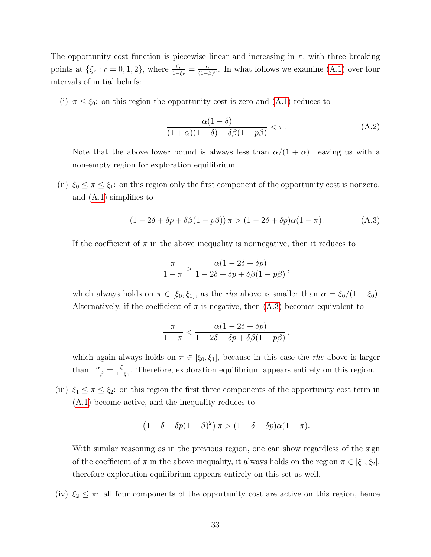The opportunity cost function is piecewise linear and increasing in  $\pi$ , with three breaking points at  $\{\xi_r : r = 0, 1, 2\}$ , where  $\frac{\xi_r}{1 - \xi_r} = \frac{\alpha}{(1 - \beta)^2}$  $\frac{\alpha}{(1-\beta)^r}$ . In what follows we examine [\(A.1\)](#page-31-0) over four intervals of initial beliefs:

(i)  $\pi \leq \xi_0$ : on this region the opportunity cost is zero and [\(A.1\)](#page-31-0) reduces to

<span id="page-32-1"></span>
$$
\frac{\alpha(1-\delta)}{(1+\alpha)(1-\delta)+\delta\beta(1-p\beta)} < \pi. \tag{A.2}
$$

Note that the above lower bound is always less than  $\alpha/(1 + \alpha)$ , leaving us with a non-empty region for exploration equilibrium.

(ii)  $\xi_0 \leq \pi \leq \xi_1$ : on this region only the first component of the opportunity cost is nonzero, and [\(A.1\)](#page-31-0) simplifies to

<span id="page-32-0"></span>
$$
(1 - 2\delta + \delta p + \delta\beta(1 - p\beta))\pi > (1 - 2\delta + \delta p)\alpha(1 - \pi).
$$
 (A.3)

If the coefficient of  $\pi$  in the above inequality is nonnegative, then it reduces to

$$
\frac{\pi}{1-\pi} > \frac{\alpha(1-2\delta+\delta p)}{1-2\delta+\delta p+\delta\beta(1-p\beta)},
$$

which always holds on  $\pi \in [\xi_0, \xi_1]$ , as the *rhs* above is smaller than  $\alpha = \xi_0/(1 - \xi_0)$ . Alternatively, if the coefficient of  $\pi$  is negative, then  $(A.3)$  becomes equivalent to

$$
\frac{\pi}{1-\pi} < \frac{\alpha(1-2\delta+\delta p)}{1-2\delta+\delta p+\delta\beta(1-p\beta)},
$$

which again always holds on  $\pi \in [\xi_0, \xi_1]$ , because in this case the *rhs* above is larger than  $\frac{\alpha}{1-\beta} = \frac{\xi_1}{1-\xi}$  $\frac{\xi_1}{1-\xi_1}$ . Therefore, exploration equilibrium appears entirely on this region.

(iii)  $\xi_1 \leq \pi \leq \xi_2$ : on this region the first three components of the opportunity cost term in [\(A.1\)](#page-31-0) become active, and the inequality reduces to

$$
(1 - \delta - \delta p(1 - \beta)^2) \pi > (1 - \delta - \delta p)\alpha(1 - \pi).
$$

With similar reasoning as in the previous region, one can show regardless of the sign of the coefficient of  $\pi$  in the above inequality, it always holds on the region  $\pi \in [\xi_1, \xi_2]$ , therefore exploration equilibrium appears entirely on this set as well.

(iv)  $\xi_2 \leq \pi$ : all four components of the opportunity cost are active on this region, hence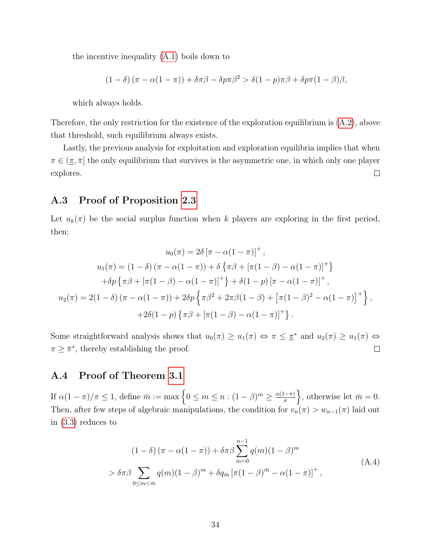the incentive inequality [\(A.1\)](#page-31-0) boils down to

$$
(1 - \delta) (\pi - \alpha(1 - \pi)) + \delta \pi \beta - \delta p \pi \beta^2 > \delta (1 - p) \pi \beta + \delta p \pi (1 - \beta) \beta,
$$

which always holds.

Therefore, the only restriction for the existence of the exploration equilibrium is [\(A.2\)](#page-32-1), above that threshold, such equilibrium always exists.

Lastly, the previous analysis for exploitation and exploration equilibria implies that when  $\pi \in (\pi, \bar{\pi}]$  the only equilibrium that survives is the asymmetric one, in which only one player explores.  $\Box$ 

### A.3 Proof of Proposition [2.3](#page-7-1)

Let  $u_k(\pi)$  be the social surplus function when k players are exploring in the first period, then:

$$
u_0(\pi) = 2\delta \left[ \pi - \alpha (1 - \pi) \right]^+,
$$
  
\n
$$
u_1(\pi) = (1 - \delta) \left( \pi - \alpha (1 - \pi) \right) + \delta \left\{ \pi \beta + \left[ \pi (1 - \beta) - \alpha (1 - \pi) \right]^+ \right\}
$$
  
\n
$$
+ \delta p \left\{ \pi \beta + \left[ \pi (1 - \beta) - \alpha (1 - \pi) \right]^+ \right\} + \delta (1 - p) \left[ \pi - \alpha (1 - \pi) \right]^+,
$$
  
\n
$$
u_2(\pi) = 2(1 - \delta) \left( \pi - \alpha (1 - \pi) \right) + 2\delta p \left\{ \pi \beta^2 + 2\pi \beta (1 - \beta) + \left[ \pi (1 - \beta)^2 - \alpha (1 - \pi) \right]^+ \right\},
$$
  
\n
$$
+ 2\delta (1 - p) \left\{ \pi \beta + \left[ \pi (1 - \beta) - \alpha (1 - \pi) \right]^+ \right\}.
$$

Some straightforward analysis shows that  $u_0(\pi) \geq u_1(\pi) \Leftrightarrow \pi \leq \pi^*$  and  $u_2(\pi) \geq u_1(\pi) \Leftrightarrow$  $\pi \geq \bar{\pi}^*$ , thereby establishing the proof.  $\Box$ 

### A.4 Proof of Theorem [3.1](#page-11-1)

If  $\alpha(1-\pi)/\pi \leq 1$ , define  $\bar{m} := \max\left\{0 \leq m \leq n : (1-\beta)^m \geq \frac{\alpha(1-\pi)}{\pi}\right\}$  $\},$  otherwise let  $\bar{m}=0$ . Then, after few steps of algebraic manipulations, the condition for  $v_n(\pi) > w_{n-1}(\pi)$  laid out in [\(3.3\)](#page-10-1) reduces to

<span id="page-33-0"></span>
$$
(1 - \delta) (\pi - \alpha(1 - \pi)) + \delta \pi \beta \sum_{m=0}^{n-1} q(m)(1 - \beta)^m
$$
  
> 
$$
\delta \pi \beta \sum_{0 \le m < \bar{m}} q(m)(1 - \beta)^m + \delta q_{\bar{m}} [\pi (1 - \beta)^{\bar{m}} - \alpha (1 - \pi)]^+,
$$
 (A.4)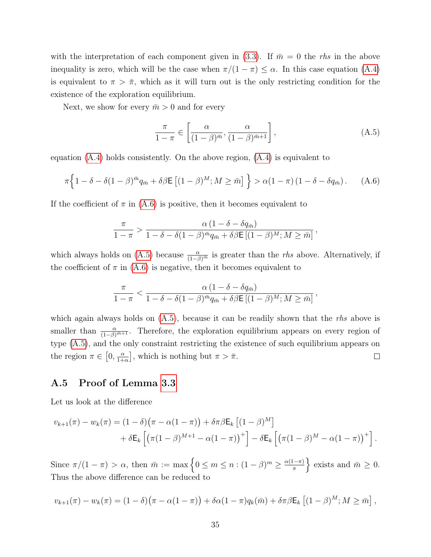with the interpretation of each component given in [\(3.3\)](#page-10-1). If  $\bar{m}=0$  the rhs in the above inequality is zero, which will be the case when  $\pi/(1 - \pi) \leq \alpha$ . In this case equation [\(A.4\)](#page-33-0) is equivalent to  $\pi > \bar{\pi}$ , which as it will turn out is the only restricting condition for the existence of the exploration equilibrium.

Next, we show for every  $\bar{m} > 0$  and for every

<span id="page-34-1"></span>
$$
\frac{\pi}{1-\pi} \in \left[\frac{\alpha}{(1-\beta)^{\bar{m}}}, \frac{\alpha}{(1-\beta)^{\bar{m}+1}}\right],\tag{A.5}
$$

equation  $(A.4)$  holds consistently. On the above region,  $(A.4)$  is equivalent to

<span id="page-34-0"></span>
$$
\pi \left\{ 1 - \delta - \delta (1 - \beta)^{\bar{m}} q_{\bar{m}} + \delta \beta \mathsf{E} \left[ (1 - \beta)^M ; M \geq \bar{m} \right] \right\} > \alpha (1 - \pi) \left( 1 - \delta - \delta q_{\bar{m}} \right). \tag{A.6}
$$

If the coefficient of  $\pi$  in [\(A.6\)](#page-34-0) is positive, then it becomes equivalent to

$$
\frac{\pi}{1-\pi} > \frac{\alpha (1-\delta - \delta q_{\bar{m}})}{1-\delta - \delta (1-\beta)^{\bar{m}} q_{\bar{m}} + \delta \beta \mathsf{E} \left[ (1-\beta)^M; M \geq \bar{m} \right]},
$$

which always holds on [\(A.5\)](#page-34-1) because  $\frac{\alpha}{(1-\beta)^{\overline{m}}}$  is greater than the *rhs* above. Alternatively, if the coefficient of  $\pi$  in [\(A.6\)](#page-34-0) is negative, then it becomes equivalent to

$$
\frac{\pi}{1-\pi} < \frac{\alpha \left(1-\delta-\delta q_{\bar{m}}\right)}{1-\delta-\delta(1-\beta)^{\bar{m}}q_{\bar{m}}+\delta\beta \mathsf{E}\left[(1-\beta)^M;M\geq\bar{m}\right]},
$$

which again always holds on  $(A.5)$ , because it can be readily shown that the rhs above is smaller than  $\frac{\alpha}{(1-\beta)^{\bar{m}+1}}$ . Therefore, the exploration equilibrium appears on every region of type [\(A.5\)](#page-34-1), and the only constraint restricting the existence of such equilibrium appears on the region  $\pi \in [0, \frac{\alpha}{1+\alpha}]$  $\left[\frac{\alpha}{1+\alpha}\right]$ , which is nothing but  $\pi > \bar{\pi}$ .  $\Box$ 

### A.5 Proof of Lemma [3.3](#page-12-3)

Let us look at the difference

$$
v_{k+1}(\pi) - w_k(\pi) = (1 - \delta)(\pi - \alpha(1 - \pi)) + \delta \pi \beta \mathsf{E}_k \left[ (1 - \beta)^M \right] + \delta \mathsf{E}_k \left[ \left( \pi(1 - \beta)^{M+1} - \alpha(1 - \pi) \right)^+ \right] - \delta \mathsf{E}_k \left[ \left( \pi(1 - \beta)^M - \alpha(1 - \pi) \right)^+ \right].
$$

Since  $\pi/(1-\pi) > \alpha$ , then  $\bar{m} := \max\left\{0 \leq m \leq n : (1-\beta)^m \geq \frac{\alpha(1-\pi)}{\pi}\right\}$ } exists and  $\bar{m} \geq 0$ . Thus the above difference can be reduced to

$$
v_{k+1}(\pi) - w_k(\pi) = (1 - \delta)(\pi - \alpha(1 - \pi)) + \delta\alpha(1 - \pi)q_k(\bar{m}) + \delta\pi\beta\mathsf{E}_k\left[(1 - \beta)^M; M \geq \bar{m}\right],
$$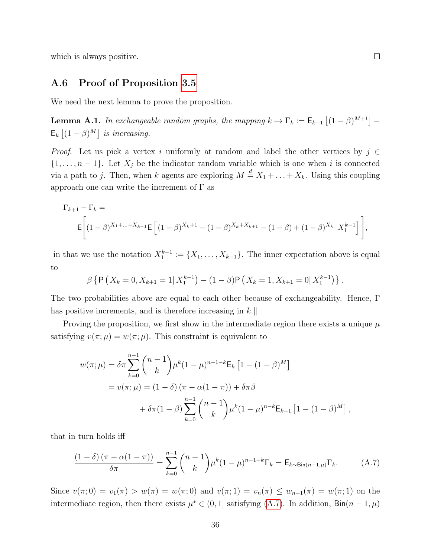which is always positive.

#### A.6 Proof of Proposition [3.5](#page-13-2)

We need the next lemma to prove the proposition.

**Lemma A.1.** In exchangeable random graphs, the mapping  $k \mapsto \Gamma_k := \mathsf{E}_{k-1} \left[ (1-\beta)^{M+1} \right] \mathsf{E}_k\left[ (1-\beta)^M \right]$  is increasing.

*Proof.* Let us pick a vertex i uniformly at random and label the other vertices by  $j \in \mathbb{Z}$  $\{1, \ldots, n-1\}$ . Let  $X_j$  be the indicator random variable which is one when i is connected via a path to j. Then, when k agents are exploring  $M \stackrel{d}{=} X_1 + \ldots + X_k$ . Using this coupling approach one can write the increment of  $\Gamma$  as

$$
\Gamma_{k+1} - \Gamma_k = \mathbf{E} \left[ (1 - \beta)^{X_1 + \dots + X_{k-1}} \mathbf{E} \left[ (1 - \beta)^{X_k + 1} - (1 - \beta)^{X_k + X_{k+1}} - (1 - \beta) + (1 - \beta)^{X_k} \right] X_1^{k-1} \right],
$$

in that we use the notation  $X_1^{k-1} := \{X_1, \ldots, X_{k-1}\}.$  The inner expectation above is equal to

$$
\beta \left\{ \mathsf{P}\left(X_k=0, X_{k+1}=1 | X_1^{k-1}\right) - (1-\beta) \mathsf{P}\left(X_k=1, X_{k+1}=0 | X_1^{k-1}\right) \right\}.
$$

The two probabilities above are equal to each other because of exchangeability. Hence, Γ has positive increments, and is therefore increasing in  $k.\|$ 

Proving the proposition, we first show in the intermediate region there exists a unique  $\mu$ satisfying  $v(\pi;\mu) = w(\pi;\mu)$ . This constraint is equivalent to

$$
w(\pi; \mu) = \delta \pi \sum_{k=0}^{n-1} {n-1 \choose k} \mu^k (1-\mu)^{n-1-k} \mathsf{E}_k \left[ 1 - (1-\beta)^M \right]
$$
  
=  $v(\pi; \mu) = (1-\delta) (\pi - \alpha(1-\pi)) + \delta \pi \beta$   
+  $\delta \pi (1-\beta) \sum_{k=0}^{n-1} {n-1 \choose k} \mu^k (1-\mu)^{n-k} \mathsf{E}_{k-1} \left[ 1 - (1-\beta)^M \right],$ 

that in turn holds iff

<span id="page-35-0"></span>
$$
\frac{(1-\delta)(\pi-\alpha(1-\pi))}{\delta\pi} = \sum_{k=0}^{n-1} \binom{n-1}{k} \mu^k (1-\mu)^{n-1-k} \Gamma_k = \mathsf{E}_{k \sim \text{Bin}(n-1,\mu)} \Gamma_k. \tag{A.7}
$$

Since  $v(\pi; 0) = v_1(\pi) > w(\pi) = w(\pi; 0)$  and  $v(\pi; 1) = v_n(\pi) \leq w_{n-1}(\pi) = w(\pi; 1)$  on the intermediate region, then there exists  $\mu^* \in (0,1]$  satisfying  $(A.7)$ . In addition,  $\text{Bin}(n-1,\mu)$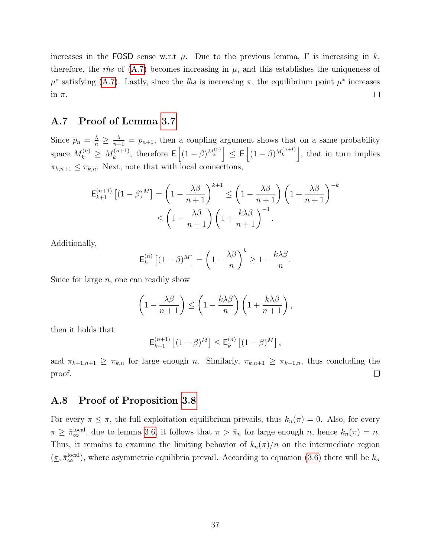increases in the FOSD sense w.r.t  $\mu$ . Due to the previous lemma,  $\Gamma$  is increasing in k, therefore, the rhs of  $(A.7)$  becomes increasing in  $\mu$ , and this establishes the uniqueness of  $\mu^*$  satisfying [\(A.7\)](#page-35-0). Lastly, since the lhs is increasing  $\pi$ , the equilibrium point  $\mu^*$  increases in  $\pi$ .  $\Box$ 

### A.7 Proof of Lemma [3.7](#page-14-3)

Since  $p_n = \frac{\lambda}{n} \geq \frac{\lambda}{n+1} = p_{n+1}$ , then a coupling argument shows that on a same probability space  $M_k^{(n)} \geq M_k^{(n+1)}$  $\left[ (k+1) \atop k \right]$ , therefore  $\mathsf{E}\left[ (1-\beta)^{M_k^{(n)}} \right] \leq \mathsf{E}\left[ (1-\beta)^{M_k^{(n+1)}} \right]$ , that in turn implies  $\pi_{k,n+1} \leq \pi_{k,n}$ . Next, note that with local connections,

$$
\mathsf{E}_{k+1}^{(n+1)} \left[ (1-\beta)^M \right] = \left( 1 - \frac{\lambda \beta}{n+1} \right)^{k+1} \le \left( 1 - \frac{\lambda \beta}{n+1} \right) \left( 1 + \frac{\lambda \beta}{n+1} \right)^{-k}
$$

$$
\le \left( 1 - \frac{\lambda \beta}{n+1} \right) \left( 1 + \frac{k \lambda \beta}{n+1} \right)^{-1}.
$$

Additionally,

$$
\mathsf{E}_k^{(n)}\left[ (1-\beta)^M \right] = \left( 1 - \frac{\lambda \beta}{n} \right)^k \ge 1 - \frac{k \lambda \beta}{n}.
$$

Since for large  $n$ , one can readily show

$$
\left(1 - \frac{\lambda \beta}{n+1}\right) \le \left(1 - \frac{k \lambda \beta}{n}\right)\left(1 + \frac{k \lambda \beta}{n+1}\right),\,
$$

then it holds that

$$
\mathsf{E}_{k+1}^{(n+1)} \left[ (1-\beta)^M \right] \le \mathsf{E}_k^{(n)} \left[ (1-\beta)^M \right],
$$

and  $\pi_{k+1,n+1} \geq \pi_{k,n}$  for large enough n. Similarly,  $\pi_{k,n+1} \geq \pi_{k-1,n}$ , thus concluding the proof.  $\Box$ 

### A.8 Proof of Proposition [3.8](#page-14-1)

For every  $\pi \leq \pi$ , the full exploitation equilibrium prevails, thus  $k_n(\pi) = 0$ . Also, for every  $\pi \geq \bar{\pi}_{\infty}^{\text{local}}$ , due to lemma [3.6,](#page-13-3) it follows that  $\pi > \bar{\pi}_n$  for large enough n, hence  $k_n(\pi) = n$ . Thus, it remains to examine the limiting behavior of  $k_n(\pi)/n$  on the intermediate region  $(\underline{\pi}, \overline{\pi}_{\infty}^{\text{local}})$ , where asymmetric equilibria prevail. According to equation [\(3.6\)](#page-12-0) there will be  $k_n$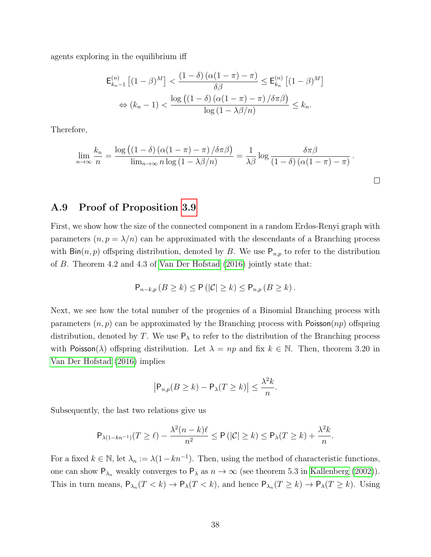agents exploring in the equilibrium iff

$$
\mathsf{E}_{k_n-1}^{(n)} \left[ (1-\beta)^M \right] < \frac{\left( 1-\delta \right) \left( \alpha (1-\pi) - \pi \right)}{\delta \beta} \le \mathsf{E}_{k_n}^{(n)} \left[ (1-\beta)^M \right] \\
\Leftrightarrow (k_n-1) < \frac{\log \left( \left( 1-\delta \right) \left( \alpha (1-\pi) - \pi \right) / \delta \pi \beta \right)}{\log \left( 1 - \lambda \beta / n \right)} \le k_n.
$$

Therefore,

$$
\lim_{n \to \infty} \frac{k_n}{n} = \frac{\log ((1 - \delta) (\alpha (1 - \pi) - \pi) / \delta \pi \beta)}{\lim_{n \to \infty} n \log (1 - \lambda \beta / n)} = \frac{1}{\lambda \beta} \log \frac{\delta \pi \beta}{(1 - \delta) (\alpha (1 - \pi) - \pi)}.
$$

 $\Box$ 

### A.9 Proof of Proposition [3.9](#page-15-2)

First, we show how the size of the connected component in a random Erdos-Renyi graph with parameters  $(n, p = \lambda/n)$  can be approximated with the descendants of a Branching process with  $\text{Bin}(n, p)$  offspring distribution, denoted by B. We use  $\mathsf{P}_{n,p}$  to refer to the distribution of B. Theorem 4.2 and 4.3 of [Van Der Hofstad](#page-41-13) [\(2016\)](#page-41-13) jointly state that:

$$
\mathsf{P}_{n-k,p} (B \geq k) \leq \mathsf{P} (|\mathcal{C}| \geq k) \leq \mathsf{P}_{n,p} (B \geq k).
$$

Next, we see how the total number of the progenies of a Binomial Branching process with parameters  $(n, p)$  can be approximated by the Branching process with Poisson $(np)$  offspring distribution, denoted by T. We use  $P_{\lambda}$  to refer to the distribution of the Branching process with Poisson( $\lambda$ ) offspring distribution. Let  $\lambda = np$  and fix  $k \in \mathbb{N}$ . Then, theorem 3.20 in [Van Der Hofstad](#page-41-13) [\(2016\)](#page-41-13) implies

$$
\left|\mathsf{P}_{n,p}(B \ge k) - \mathsf{P}_{\lambda}(T \ge k)\right| \le \frac{\lambda^2 k}{n}.
$$

Subsequently, the last two relations give us

$$
\mathsf{P}_{\lambda(1-kn^{-1})}(T \geq \ell) - \frac{\lambda^2(n-k)\ell}{n^2} \leq \mathsf{P}\left(|\mathcal{C}| \geq k\right) \leq \mathsf{P}_{\lambda}(T \geq k) + \frac{\lambda^2 k}{n}.
$$

For a fixed  $k \in \mathbb{N}$ , let  $\lambda_n := \lambda(1 - kn^{-1})$ . Then, using the method of characteristic functions, one can show  $P_{\lambda_n}$  weakly converges to  $P_{\lambda}$  as  $n \to \infty$  (see theorem 5.3 in [Kallenberg](#page-41-14) [\(2002\)](#page-41-14)). This in turn means,  $P_{\lambda_n}(T < k) \to P_{\lambda}(T < k)$ , and hence  $P_{\lambda_n}(T \ge k) \to P_{\lambda}(T \ge k)$ . Using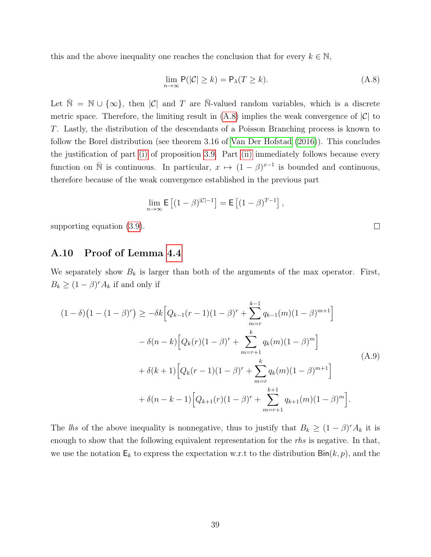this and the above inequality one reaches the conclusion that for every  $k \in \mathbb{N}$ ,

<span id="page-38-0"></span>
$$
\lim_{n \to \infty} \mathsf{P}(|\mathcal{C}| \ge k) = \mathsf{P}_{\lambda}(T \ge k). \tag{A.8}
$$

Let  $\bar{\mathbb{N}} = \mathbb{N} \cup \{\infty\}$ , then |C| and T are  $\bar{\mathbb{N}}$ -valued random variables, which is a discrete metric space. Therefore, the limiting result in  $(A.8)$  implies the weak convergence of  $|\mathcal{C}|$  to T. Lastly, the distribution of the descendants of a Poisson Branching process is known to follow the Borel distribution (see theorem 3.16 of [Van Der Hofstad](#page-41-13) [\(2016\)](#page-41-13)). This concludes the justification of part [\(i\)](#page-15-3) of proposition [3.9.](#page-15-2) Part [\(ii\)](#page-15-4) immediately follows because every function on  $\bar{N}$  is continuous. In particular,  $x \mapsto (1-\beta)^{x-1}$  is bounded and continuous, therefore because of the weak convergence established in the previous part

$$
\lim_{n \to \infty} \mathsf{E}\left[ (1-\beta)^{|\mathcal{C}|-1} \right] = \mathsf{E}\left[ (1-\beta)^{T-1} \right],
$$

supporting equation [\(3.9\)](#page-15-1).

## A.10 Proof of Lemma [4.4](#page-22-1)

We separately show  $B_k$  is larger than both of the arguments of the max operator. First,  $B_k \geq (1 - \beta)^r A_k$  if and only if

<span id="page-38-1"></span>
$$
(1 - \delta)\left(1 - (1 - \beta)^r\right) \geq -\delta k \Big[Q_{k-1}(r-1)(1 - \beta)^r + \sum_{m=r}^{k-1} q_{k-1}(m)(1 - \beta)^{m+1}\Big] - \delta(n-k) \Big[Q_k(r)(1 - \beta)^r + \sum_{m=r+1}^k q_k(m)(1 - \beta)^m\Big] + \delta(k+1) \Big[Q_k(r-1)(1 - \beta)^r + \sum_{m=r}^k q_k(m)(1 - \beta)^{m+1}\Big] + \delta(n-k-1) \Big[Q_{k+1}(r)(1 - \beta)^r + \sum_{m=r+1}^{k+1} q_{k+1}(m)(1 - \beta)^m\Big].
$$
\n(A.9)

The lhs of the above inequality is nonnegative, thus to justify that  $B_k \geq (1 - \beta)^r A_k$  it is enough to show that the following equivalent representation for the rhs is negative. In that, we use the notation  $\mathsf{E}_k$  to express the expectation w.r.t to the distribution  $\mathsf{Bin}(k, p)$ , and the

 $\Box$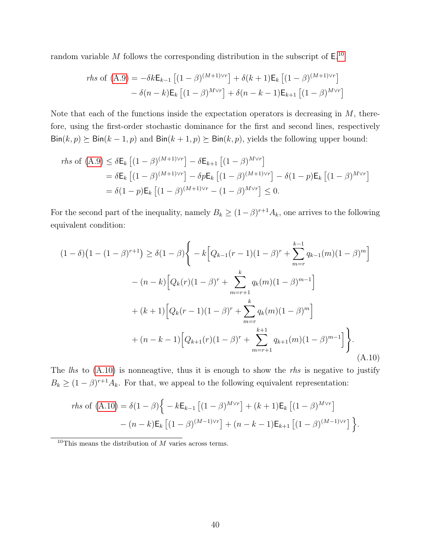random variable M follows the corresponding distribution in the subscript of  $E^{10}$  $E^{10}$  $E^{10}$ .

*rhs* of (A.9) = 
$$
-\delta k E_{k-1} [(1 - \beta)^{(M+1)\vee r}] + \delta(k+1) E_k [(1 - \beta)^{(M+1)\vee r}]
$$
  
 $-\delta(n-k) E_k [(1 - \beta)^{M\vee r}] + \delta(n-k-1) E_{k+1} [(1 - \beta)^{M\vee r}]$ 

Note that each of the functions inside the expectation operators is decreasing in  $M$ , therefore, using the first-order stochastic dominance for the first and second lines, respectively  $\text{Bin}(k, p) \succeq \text{Bin}(k - 1, p)$  and  $\text{Bin}(k + 1, p) \succeq \text{Bin}(k, p)$ , yields the following upper bound:

$$
r\hbar s \text{ of } (A.9) \le \delta E_k \left[ (1 - \beta)^{(M+1)\vee r} \right] - \delta E_{k+1} \left[ (1 - \beta)^{M\vee r} \right]
$$
  
=  $\delta E_k \left[ (1 - \beta)^{(M+1)\vee r} \right] - \delta p E_k \left[ (1 - \beta)^{(M+1)\vee r} \right] - \delta (1 - p) E_k \left[ (1 - \beta)^{M\vee r} \right]$   
=  $\delta (1 - p) E_k \left[ (1 - \beta)^{(M+1)\vee r} - (1 - \beta)^{M\vee r} \right] \le 0.$ 

For the second part of the inequality, namely  $B_k \geq (1-\beta)^{r+1}A_k$ , one arrives to the following equivalent condition:

<span id="page-39-1"></span>
$$
(1 - \delta)\left(1 - (1 - \beta)^{r+1}\right) \ge \delta(1 - \beta)\left\{-k\left[Q_{k-1}(r-1)(1-\beta)^r + \sum_{m=r}^{k-1} q_{k-1}(m)(1-\beta)^m\right]\right\}
$$

$$
- (n - k)\left[Q_k(r)(1-\beta)^r + \sum_{m=r+1}^k q_k(m)(1-\beta)^{m-1}\right]
$$

$$
+ (k+1)\left[Q_k(r-1)(1-\beta)^r + \sum_{m=r}^k q_k(m)(1-\beta)^m\right]
$$

$$
+ (n - k - 1)\left[Q_{k+1}(r)(1-\beta)^r + \sum_{m=r+1}^{k+1} q_{k+1}(m)(1-\beta)^{m-1}\right]\left\}.
$$
(A.10)

The  $\ell$ hs to  $(A.10)$  is nonneagtive, thus it is enough to show the *rhs* is negative to justify  $B_k \geq (1-\beta)^{r+1}A_k$ . For that, we appeal to the following equivalent representation:

*rhs* of (A.10) = 
$$
\delta(1 - \beta)\left\{-k \mathsf{E}_{k-1} \left[ (1 - \beta)^{M \vee r} \right] + (k+1) \mathsf{E}_k \left[ (1 - \beta)^{M \vee r} \right] - (n-k) \mathsf{E}_k \left[ (1 - \beta)^{(M-1)\vee r} \right] + (n-k-1) \mathsf{E}_{k+1} \left[ (1 - \beta)^{(M-1)\vee r} \right] \right\}.
$$

<span id="page-39-0"></span> $10$ This means the distribution of  $\overline{M}$  varies across terms.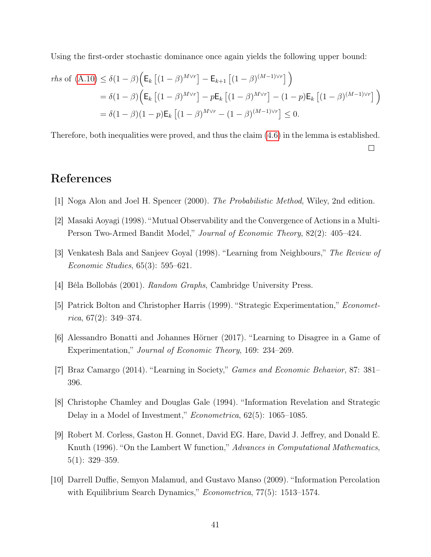Using the first-order stochastic dominance once again yields the following upper bound:

$$
r\hbar s \text{ of } (\mathbf{A}.\mathbf{10}) \le \delta(1-\beta) \Big( \mathsf{E}_{k} \left[ (1-\beta)^{M \vee r} \right] - \mathsf{E}_{k+1} \left[ (1-\beta)^{(M-1)\vee r} \right] \Big)
$$
  
=  $\delta(1-\beta) \Big( \mathsf{E}_{k} \left[ (1-\beta)^{M \vee r} \right] - p \mathsf{E}_{k} \left[ (1-\beta)^{M \vee r} \right] - (1-p) \mathsf{E}_{k} \left[ (1-\beta)^{(M-1)\vee r} \right] \Big)$   
=  $\delta(1-\beta)(1-p) \mathsf{E}_{k} \left[ (1-\beta)^{M \vee r} - (1-\beta)^{(M-1)\vee r} \right] \le 0.$ 

Therefore, both inequalities were proved, and thus the claim [\(4.6\)](#page-22-3) in the lemma is established.

 $\Box$ 

# References

- <span id="page-40-8"></span>[1] Noga Alon and Joel H. Spencer (2000). The Probabilistic Method, Wiley, 2nd edition.
- <span id="page-40-4"></span>[2] Masaki Aoyagi (1998). "Mutual Observability and the Convergence of Actions in a Multi-Person Two-Armed Bandit Model," Journal of Economic Theory, 82(2): 405–424.
- <span id="page-40-2"></span>[3] Venkatesh Bala and Sanjeev Goyal (1998). "Learning from Neighbours," The Review of Economic Studies, 65(3): 595–621.
- <span id="page-40-7"></span>[4] Béla Bollobás (2001). Random Graphs, Cambridge University Press.
- <span id="page-40-0"></span>[5] Patrick Bolton and Christopher Harris (1999). "Strategic Experimentation," Economet $rica, 67(2): 349-374.$
- <span id="page-40-1"></span>[6] Alessandro Bonatti and Johannes Hörner (2017). "Learning to Disagree in a Game of Experimentation," Journal of Economic Theory, 169: 234–269.
- <span id="page-40-5"></span>[7] Braz Camargo (2014). "Learning in Society," Games and Economic Behavior, 87: 381– 396.
- <span id="page-40-3"></span>[8] Christophe Chamley and Douglas Gale (1994). "Information Revelation and Strategic Delay in a Model of Investment," Econometrica, 62(5): 1065–1085.
- <span id="page-40-9"></span>[9] Robert M. Corless, Gaston H. Gonnet, David EG. Hare, David J. Jeffrey, and Donald E. Knuth (1996). "On the Lambert W function," Advances in Computational Mathematics, 5(1): 329–359.
- <span id="page-40-6"></span>[10] Darrell Duffie, Semyon Malamud, and Gustavo Manso (2009). "Information Percolation with Equilibrium Search Dynamics," *Econometrica*, 77(5): 1513–1574.